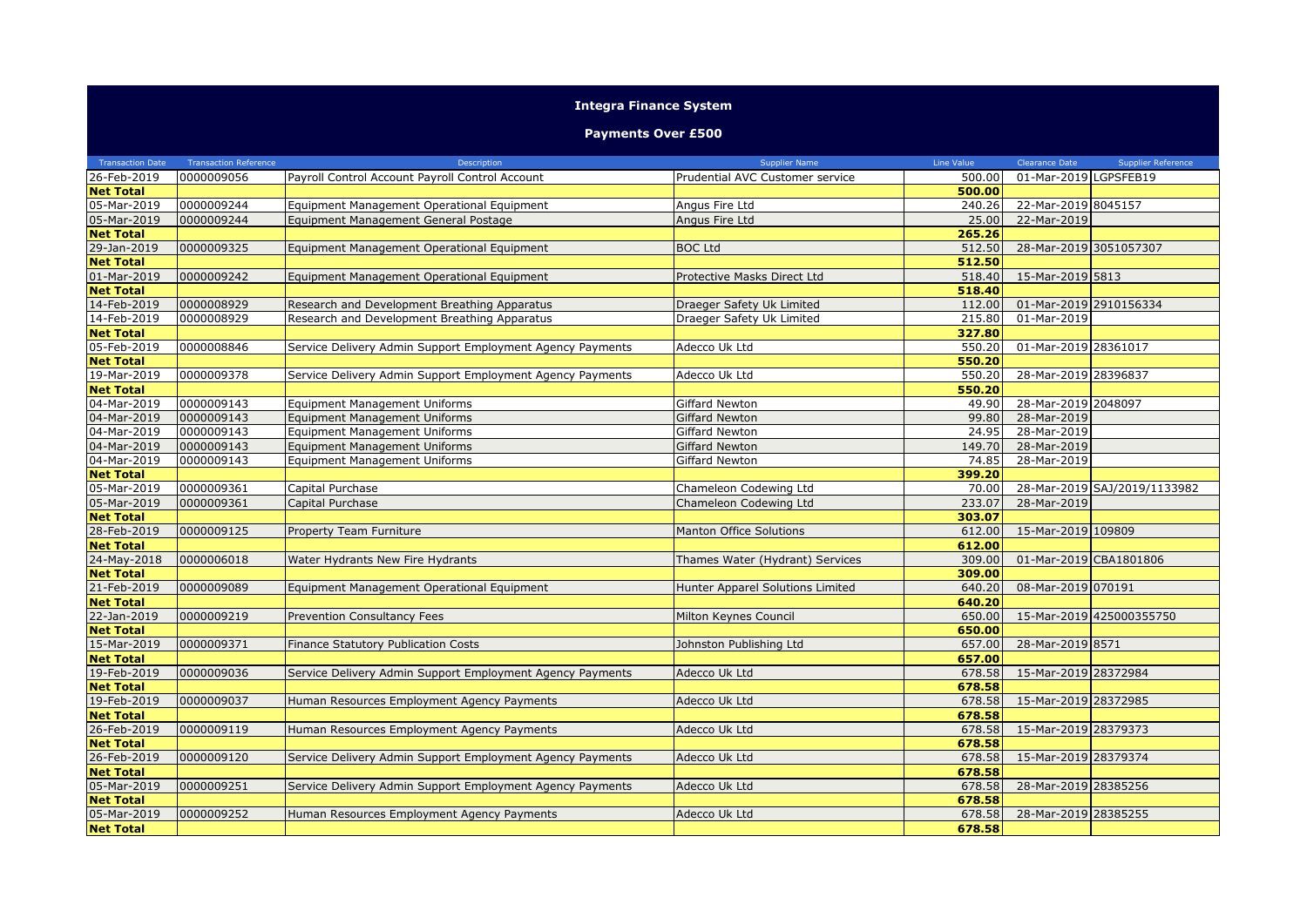## **Integra Finance System**

## **Payments Over £500**

| <b>Transaction Date</b> | <b>Transaction Reference</b> | Description                                               | <b>Supplier Name</b>             | Line Value | Clearance Date         | <b>Supplier Reference</b>    |
|-------------------------|------------------------------|-----------------------------------------------------------|----------------------------------|------------|------------------------|------------------------------|
| 26-Feb-2019             | 0000009056                   | Payroll Control Account Payroll Control Account           | Prudential AVC Customer service  | 500.00     | 01-Mar-2019 LGPSFEB19  |                              |
| <b>Net Total</b>        |                              |                                                           |                                  | 500.00     |                        |                              |
| 05-Mar-2019             | 0000009244                   | Equipment Management Operational Equipment                | Angus Fire Ltd                   | 240.26     | 22-Mar-2019 8045157    |                              |
| 05-Mar-2019             | 0000009244                   | Equipment Management General Postage                      | Angus Fire Ltd                   | 25.00      | 22-Mar-2019            |                              |
| <b>Net Total</b>        |                              |                                                           |                                  | 265.26     |                        |                              |
| 29-Jan-2019             | 0000009325                   | Equipment Management Operational Equipment                | <b>BOC Ltd</b>                   | 512.50     | 28-Mar-2019 3051057307 |                              |
| <b>Net Total</b>        |                              |                                                           |                                  | 512.50     |                        |                              |
| 01-Mar-2019             | 0000009242                   | Equipment Management Operational Equipment                | Protective Masks Direct Ltd      | 518.40     | 15-Mar-2019 5813       |                              |
| <b>Net Total</b>        |                              |                                                           |                                  | 518.40     |                        |                              |
| 14-Feb-2019             | 0000008929                   | Research and Development Breathing Apparatus              | Draeger Safety Uk Limited        | 112.00     | 01-Mar-2019 2910156334 |                              |
| 14-Feb-2019             | 0000008929                   | Research and Development Breathing Apparatus              | Draeger Safety Uk Limited        | 215.80     | 01-Mar-2019            |                              |
| <b>Net Total</b>        |                              |                                                           |                                  | 327.80     |                        |                              |
| 05-Feb-2019             | 0000008846                   | Service Delivery Admin Support Employment Agency Payments | Adecco Uk Ltd                    | 550.20     | 01-Mar-2019 28361017   |                              |
| <b>Net Total</b>        |                              |                                                           |                                  | 550.20     |                        |                              |
| 19-Mar-2019             | 0000009378                   | Service Delivery Admin Support Employment Agency Payments | Adecco Uk Ltd                    | 550.20     | 28-Mar-2019 28396837   |                              |
| <b>Net Total</b>        |                              |                                                           |                                  | 550.20     |                        |                              |
| 04-Mar-2019             | 0000009143                   | <b>Equipment Management Uniforms</b>                      | <b>Giffard Newton</b>            | 49.90      | 28-Mar-2019 2048097    |                              |
| 04-Mar-2019             | 0000009143                   | <b>Equipment Management Uniforms</b>                      | <b>Giffard Newton</b>            | 99.80      | 28-Mar-2019            |                              |
| 04-Mar-2019             | 0000009143                   | <b>Equipment Management Uniforms</b>                      | Giffard Newton                   | 24.95      | 28-Mar-2019            |                              |
| 04-Mar-2019             | 0000009143                   | <b>Equipment Management Uniforms</b>                      | <b>Giffard Newton</b>            | 149.70     | 28-Mar-2019            |                              |
| 04-Mar-2019             | 0000009143                   | <b>Equipment Management Uniforms</b>                      | <b>Giffard Newton</b>            | 74.85      | 28-Mar-2019            |                              |
| <b>Net Total</b>        |                              |                                                           |                                  | 399.20     |                        |                              |
| 05-Mar-2019             | 0000009361                   | Capital Purchase                                          | Chameleon Codewing Ltd           | 70.00      |                        | 28-Mar-2019 SAJ/2019/1133982 |
| 05-Mar-2019             | 0000009361                   | Capital Purchase                                          | Chameleon Codewing Ltd           | 233.07     | 28-Mar-2019            |                              |
| <b>Net Total</b>        |                              |                                                           |                                  | 303.07     |                        |                              |
| 28-Feb-2019             | 0000009125                   | <b>Property Team Furniture</b>                            | Manton Office Solutions          | 612.00     | 15-Mar-2019 109809     |                              |
| <b>Net Total</b>        |                              |                                                           |                                  | 612.00     |                        |                              |
| 24-May-2018             | 0000006018                   | Water Hydrants New Fire Hydrants                          | Thames Water (Hydrant) Services  | 309.00     |                        | 01-Mar-2019 CBA1801806       |
| <b>Net Total</b>        |                              |                                                           |                                  | 309.00     |                        |                              |
| 21-Feb-2019             | 0000009089                   | Equipment Management Operational Equipment                | Hunter Apparel Solutions Limited | 640.20     | 08-Mar-2019 070191     |                              |
| <b>Net Total</b>        |                              |                                                           |                                  | 640.20     |                        |                              |
| 22-Jan-2019             | 0000009219                   | Prevention Consultancy Fees                               | Milton Keynes Council            | 650.00     |                        | 15-Mar-2019 425000355750     |
| <b>Net Total</b>        |                              |                                                           |                                  | 650.00     |                        |                              |
| 15-Mar-2019             | 0000009371                   | Finance Statutory Publication Costs                       | Johnston Publishing Ltd          | 657.00     | 28-Mar-2019 8571       |                              |
| <b>Net Total</b>        |                              |                                                           |                                  | 657.00     |                        |                              |
| 19-Feb-2019             | 0000009036                   | Service Delivery Admin Support Employment Agency Payments | Adecco Uk Ltd                    | 678.58     | 15-Mar-2019 28372984   |                              |
| <b>Net Total</b>        |                              |                                                           |                                  | 678.58     |                        |                              |
| 19-Feb-2019             | 0000009037                   | Human Resources Employment Agency Payments                | Adecco Uk Ltd                    | 678.58     | 15-Mar-2019 28372985   |                              |
| <b>Net Total</b>        |                              |                                                           |                                  | 678.58     |                        |                              |
| 26-Feb-2019             | 0000009119                   | Human Resources Employment Agency Payments                | Adecco Uk Ltd                    | 678.58     | 15-Mar-2019 28379373   |                              |
| <b>Net Total</b>        |                              |                                                           |                                  | 678.58     |                        |                              |
| 26-Feb-2019             | 0000009120                   | Service Delivery Admin Support Employment Agency Payments | Adecco Uk Ltd                    | 678.58     | 15-Mar-2019 28379374   |                              |
| <b>Net Total</b>        |                              |                                                           |                                  | 678.58     |                        |                              |
| 05-Mar-2019             | 0000009251                   | Service Delivery Admin Support Employment Agency Payments | Adecco Uk Ltd                    | 678.58     | 28-Mar-2019 28385256   |                              |
| <b>Net Total</b>        |                              |                                                           |                                  | 678.58     |                        |                              |
| 05-Mar-2019             | 0000009252                   | Human Resources Employment Agency Payments                | Adecco Uk Ltd                    | 678.58     | 28-Mar-2019 28385255   |                              |
| <b>Net Total</b>        |                              |                                                           |                                  | 678.58     |                        |                              |
|                         |                              |                                                           |                                  |            |                        |                              |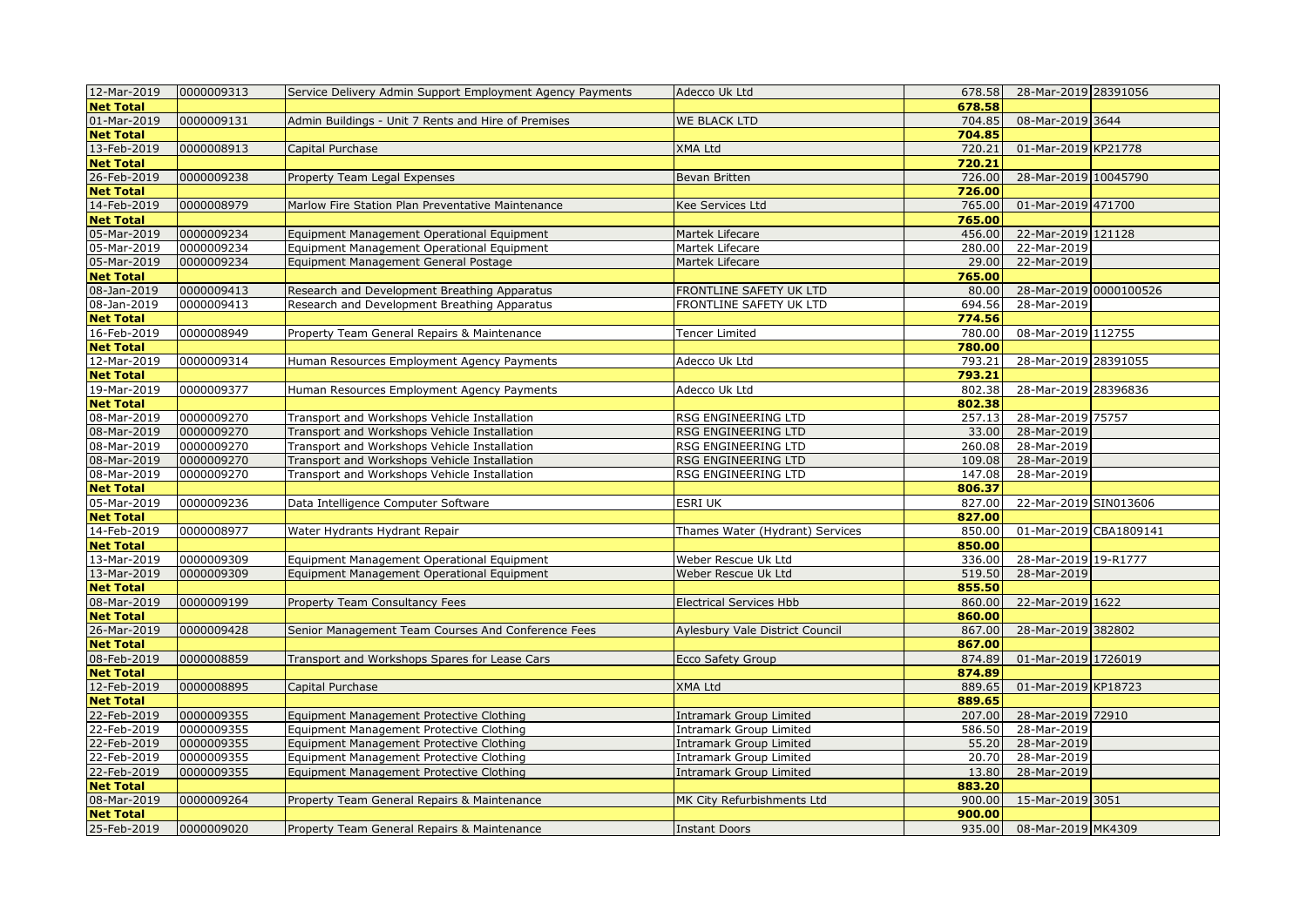| 12-Mar-2019      | 0000009313 | Service Delivery Admin Support Employment Agency Payments | Adecco Uk Ltd                   |        | 678.58 28-Mar-2019 28391056 |  |
|------------------|------------|-----------------------------------------------------------|---------------------------------|--------|-----------------------------|--|
| <b>Net Total</b> |            |                                                           |                                 | 678.58 |                             |  |
| 01-Mar-2019      | 0000009131 | Admin Buildings - Unit 7 Rents and Hire of Premises       | WE BLACK LTD                    | 704.85 | 08-Mar-2019 3644            |  |
| <b>Net Total</b> |            |                                                           |                                 | 704.85 |                             |  |
| 13-Feb-2019      | 0000008913 | Capital Purchase                                          | <b>XMA Ltd</b>                  | 720.21 | 01-Mar-2019 KP21778         |  |
| <b>Net Total</b> |            |                                                           |                                 | 720.21 |                             |  |
| 26-Feb-2019      | 0000009238 | <b>Property Team Legal Expenses</b>                       | Bevan Britten                   | 726.00 | 28-Mar-2019 10045790        |  |
| <b>Net Total</b> |            |                                                           |                                 | 726.00 |                             |  |
| 14-Feb-2019      | 0000008979 | Marlow Fire Station Plan Preventative Maintenance         | Kee Services Ltd                | 765.00 | 01-Mar-2019 471700          |  |
| <b>Net Total</b> |            |                                                           |                                 | 765.00 |                             |  |
| 05-Mar-2019      | 0000009234 | Equipment Management Operational Equipment                | Martek Lifecare                 | 456.00 | 22-Mar-2019 121128          |  |
| 05-Mar-2019      | 0000009234 | Equipment Management Operational Equipment                | Martek Lifecare                 | 280.00 | 22-Mar-2019                 |  |
| 05-Mar-2019      | 0000009234 | Equipment Management General Postage                      | Martek Lifecare                 | 29.00  | 22-Mar-2019                 |  |
| <b>Net Total</b> |            |                                                           |                                 | 765.00 |                             |  |
| 08-Jan-2019      | 0000009413 | Research and Development Breathing Apparatus              | FRONTLINE SAFETY UK LTD         | 80.00  | 28-Mar-2019 0000100526      |  |
| 08-Jan-2019      | 0000009413 | Research and Development Breathing Apparatus              | FRONTLINE SAFETY UK LTD         | 694.56 | 28-Mar-2019                 |  |
| <b>Net Total</b> |            |                                                           |                                 | 774.56 |                             |  |
| 16-Feb-2019      | 0000008949 | Property Team General Repairs & Maintenance               | Tencer Limited                  | 780.00 | 08-Mar-2019 112755          |  |
| <b>Net Total</b> |            |                                                           |                                 | 780.00 |                             |  |
| 12-Mar-2019      | 0000009314 | Human Resources Employment Agency Payments                | Adecco Uk Ltd                   | 793.21 | 28-Mar-2019 28391055        |  |
| <b>Net Total</b> |            |                                                           |                                 | 793.21 |                             |  |
| 19-Mar-2019      | 0000009377 | Human Resources Employment Agency Payments                | Adecco Uk Ltd                   | 802.38 | 28-Mar-2019 28396836        |  |
| <b>Net Total</b> |            |                                                           |                                 | 802.38 |                             |  |
| 08-Mar-2019      | 0000009270 | Transport and Workshops Vehicle Installation              | RSG ENGINEERING LTD             | 257.13 | 28-Mar-2019 75757           |  |
| 08-Mar-2019      | 0000009270 | Transport and Workshops Vehicle Installation              | RSG ENGINEERING LTD             | 33.00  | 28-Mar-2019                 |  |
| 08-Mar-2019      | 0000009270 | Transport and Workshops Vehicle Installation              | RSG ENGINEERING LTD             | 260.08 | 28-Mar-2019                 |  |
| 08-Mar-2019      | 0000009270 | Transport and Workshops Vehicle Installation              | RSG ENGINEERING LTD             | 109.08 | 28-Mar-2019                 |  |
| 08-Mar-2019      | 0000009270 | Transport and Workshops Vehicle Installation              | RSG ENGINEERING LTD             | 147.08 | 28-Mar-2019                 |  |
| <b>Net Total</b> |            |                                                           |                                 | 806.37 |                             |  |
| 05-Mar-2019      | 0000009236 | Data Intelligence Computer Software                       | <b>ESRI UK</b>                  | 827.00 | 22-Mar-2019 SIN013606       |  |
| <b>Net Total</b> |            |                                                           |                                 | 827.00 |                             |  |
| 14-Feb-2019      | 0000008977 | Water Hydrants Hydrant Repair                             | Thames Water (Hydrant) Services | 850.00 | 01-Mar-2019 CBA1809141      |  |
| <b>Net Total</b> |            |                                                           |                                 | 850.00 |                             |  |
| 13-Mar-2019      | 0000009309 | Equipment Management Operational Equipment                | Weber Rescue Uk Ltd             | 336.00 | 28-Mar-2019 19-R1777        |  |
| 13-Mar-2019      | 0000009309 | Equipment Management Operational Equipment                | Weber Rescue Uk Ltd             | 519.50 | 28-Mar-2019                 |  |
| <b>Net Total</b> |            |                                                           |                                 | 855.50 |                             |  |
| 08-Mar-2019      | 0000009199 | Property Team Consultancy Fees                            | <b>Electrical Services Hbb</b>  | 860.00 | 22-Mar-2019 1622            |  |
| <b>Net Total</b> |            |                                                           |                                 | 860.00 |                             |  |
| 26-Mar-2019      | 0000009428 | Senior Management Team Courses And Conference Fees        | Aylesbury Vale District Council | 867.00 | 28-Mar-2019 382802          |  |
| <b>Net Total</b> |            |                                                           |                                 | 867.00 |                             |  |
| 08-Feb-2019      | 0000008859 | Transport and Workshops Spares for Lease Cars             | <b>Ecco Safety Group</b>        | 874.89 | 01-Mar-2019 1726019         |  |
| <b>Net Total</b> |            |                                                           |                                 | 874.89 |                             |  |
| 12-Feb-2019      | 0000008895 | Capital Purchase                                          | XMA Ltd                         | 889.65 | 01-Mar-2019 KP18723         |  |
| <b>Net Total</b> |            |                                                           |                                 | 889.65 |                             |  |
| 22-Feb-2019      | 0000009355 | Equipment Management Protective Clothing                  | Intramark Group Limited         | 207.00 | 28-Mar-2019 72910           |  |
| 22-Feb-2019      | 0000009355 | Equipment Management Protective Clothing                  | Intramark Group Limited         | 586.50 | 28-Mar-2019                 |  |
| 22-Feb-2019      | 0000009355 | Equipment Management Protective Clothing                  | Intramark Group Limited         | 55.20  | 28-Mar-2019                 |  |
| 22-Feb-2019      | 0000009355 | Equipment Management Protective Clothing                  | Intramark Group Limited         | 20.70  | 28-Mar-2019                 |  |
| 22-Feb-2019      | 0000009355 | Equipment Management Protective Clothing                  | Intramark Group Limited         | 13.80  | 28-Mar-2019                 |  |
| <b>Net Total</b> |            |                                                           |                                 | 883.20 |                             |  |
| 08-Mar-2019      | 0000009264 | Property Team General Repairs & Maintenance               | MK City Refurbishments Ltd      | 900.00 | 15-Mar-2019 3051            |  |
| <b>Net Total</b> |            |                                                           |                                 | 900.00 |                             |  |
| 25-Feb-2019      | 0000009020 | Property Team General Repairs & Maintenance               | <b>Instant Doors</b>            | 935.00 | 08-Mar-2019 MK4309          |  |
|                  |            |                                                           |                                 |        |                             |  |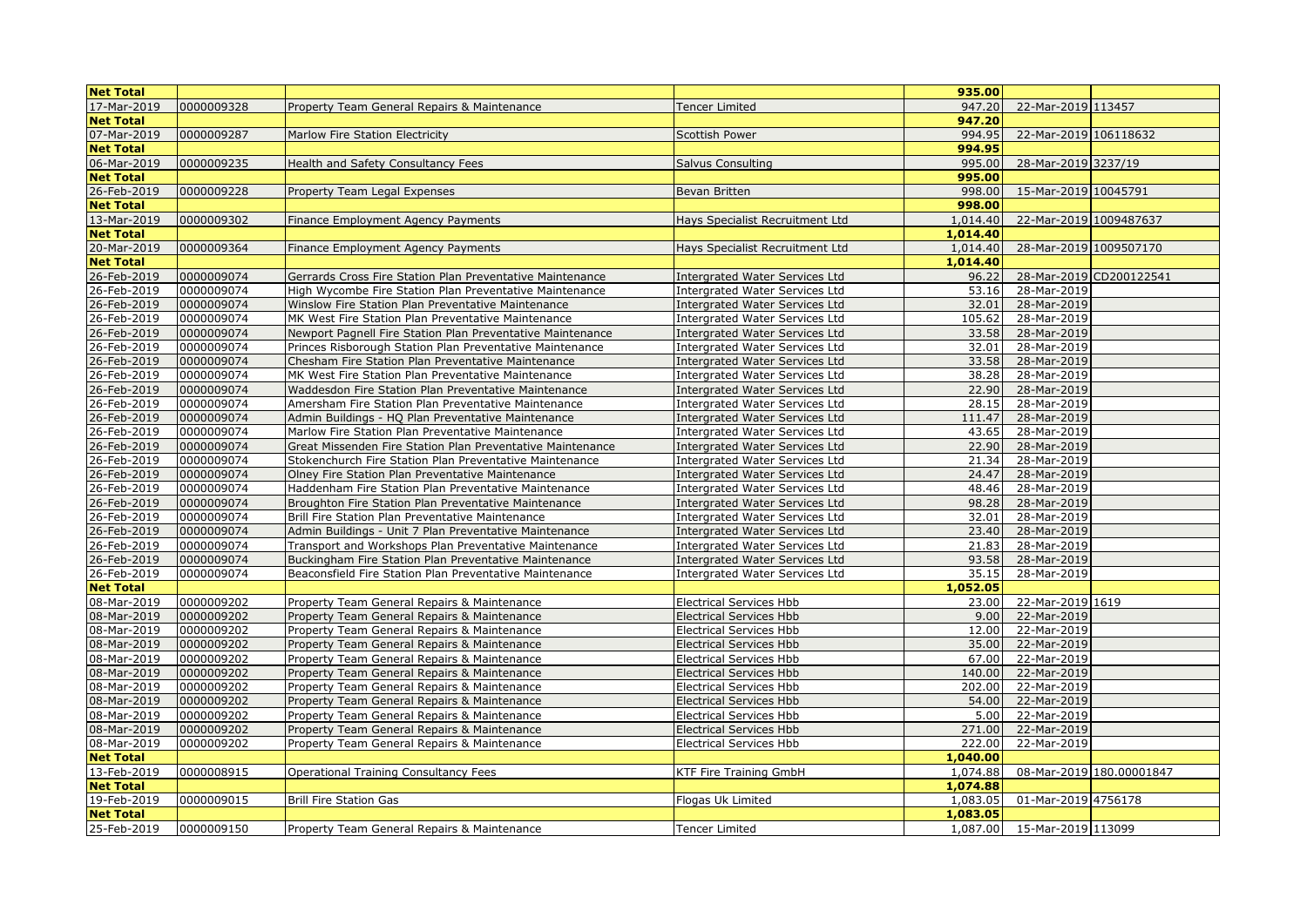| <b>Net Total</b> |            |                                                            |                                       | 935.00   |                               |                          |
|------------------|------------|------------------------------------------------------------|---------------------------------------|----------|-------------------------------|--------------------------|
| 17-Mar-2019      | 0000009328 | Property Team General Repairs & Maintenance                | <b>Tencer Limited</b>                 | 947.20   | 22-Mar-2019 113457            |                          |
| <b>Net Total</b> |            |                                                            |                                       | 947.20   |                               |                          |
| 07-Mar-2019      | 0000009287 | Marlow Fire Station Electricity                            | <b>Scottish Power</b>                 | 994.95   | 22-Mar-2019 106118632         |                          |
| <b>Net Total</b> |            |                                                            |                                       | 994.95   |                               |                          |
| 06-Mar-2019      | 0000009235 | Health and Safety Consultancy Fees                         | <b>Salvus Consulting</b>              | 995.00   | 28-Mar-2019 3237/19           |                          |
| <b>Net Total</b> |            |                                                            |                                       | 995.00   |                               |                          |
| 26-Feb-2019      | 0000009228 | Property Team Legal Expenses                               | Bevan Britten                         | 998.00   | 15-Mar-2019 10045791          |                          |
| <b>Net Total</b> |            |                                                            |                                       | 998.00   |                               |                          |
| 13-Mar-2019      | 0000009302 | Finance Employment Agency Payments                         | Hays Specialist Recruitment Ltd       | 1,014.40 | 22-Mar-2019 1009487637        |                          |
| <b>Net Total</b> |            |                                                            |                                       | 1,014.40 |                               |                          |
| 20-Mar-2019      | 0000009364 | Finance Employment Agency Payments                         | Hays Specialist Recruitment Ltd       | 1,014.40 | 28-Mar-2019 1009507170        |                          |
| <b>Net Total</b> |            |                                                            |                                       | 1,014.40 |                               |                          |
| 26-Feb-2019      | 0000009074 | Gerrards Cross Fire Station Plan Preventative Maintenance  | <b>Intergrated Water Services Ltd</b> | 96.22    |                               | 28-Mar-2019 CD200122541  |
| 26-Feb-2019      | 0000009074 | High Wycombe Fire Station Plan Preventative Maintenance    | <b>Intergrated Water Services Ltd</b> | 53.16    | 28-Mar-2019                   |                          |
| 26-Feb-2019      | 0000009074 | Winslow Fire Station Plan Preventative Maintenance         | <b>Intergrated Water Services Ltd</b> | 32.01    | 28-Mar-2019                   |                          |
| 26-Feb-2019      | 0000009074 | MK West Fire Station Plan Preventative Maintenance         | <b>Intergrated Water Services Ltd</b> | 105.62   | 28-Mar-2019                   |                          |
| 26-Feb-2019      | 0000009074 | Newport Pagnell Fire Station Plan Preventative Maintenance | <b>Intergrated Water Services Ltd</b> | 33.58    | 28-Mar-2019                   |                          |
| 26-Feb-2019      | 0000009074 | Princes Risborough Station Plan Preventative Maintenance   | <b>Intergrated Water Services Ltd</b> | 32.01    | 28-Mar-2019                   |                          |
| 26-Feb-2019      | 0000009074 | Chesham Fire Station Plan Preventative Maintenance         | <b>Intergrated Water Services Ltd</b> | 33.58    | 28-Mar-2019                   |                          |
| 26-Feb-2019      | 0000009074 | MK West Fire Station Plan Preventative Maintenance         | <b>Intergrated Water Services Ltd</b> | 38.28    | 28-Mar-2019                   |                          |
| 26-Feb-2019      | 0000009074 | Waddesdon Fire Station Plan Preventative Maintenance       | <b>Intergrated Water Services Ltd</b> | 22.90    | 28-Mar-2019                   |                          |
| 26-Feb-2019      | 0000009074 | Amersham Fire Station Plan Preventative Maintenance        | <b>Intergrated Water Services Ltd</b> | 28.15    | 28-Mar-2019                   |                          |
| 26-Feb-2019      | 0000009074 | Admin Buildings - HQ Plan Preventative Maintenance         | <b>Intergrated Water Services Ltd</b> | 111.47   | 28-Mar-2019                   |                          |
| 26-Feb-2019      | 0000009074 | Marlow Fire Station Plan Preventative Maintenance          | <b>Intergrated Water Services Ltd</b> | 43.65    | 28-Mar-2019                   |                          |
| 26-Feb-2019      | 0000009074 | Great Missenden Fire Station Plan Preventative Maintenance | <b>Intergrated Water Services Ltd</b> | 22.90    | 28-Mar-2019                   |                          |
| 26-Feb-2019      | 0000009074 | Stokenchurch Fire Station Plan Preventative Maintenance    | <b>Intergrated Water Services Ltd</b> | 21.34    | 28-Mar-2019                   |                          |
| 26-Feb-2019      | 0000009074 | Olney Fire Station Plan Preventative Maintenance           | <b>Intergrated Water Services Ltd</b> | 24.47    | 28-Mar-2019                   |                          |
| 26-Feb-2019      | 0000009074 | Haddenham Fire Station Plan Preventative Maintenance       | <b>Intergrated Water Services Ltd</b> | 48.46    | 28-Mar-2019                   |                          |
| 26-Feb-2019      | 0000009074 | Broughton Fire Station Plan Preventative Maintenance       | <b>Intergrated Water Services Ltd</b> | 98.28    | 28-Mar-2019                   |                          |
| 26-Feb-2019      | 0000009074 | Brill Fire Station Plan Preventative Maintenance           | <b>Intergrated Water Services Ltd</b> | 32.01    | 28-Mar-2019                   |                          |
| 26-Feb-2019      | 0000009074 | Admin Buildings - Unit 7 Plan Preventative Maintenance     | <b>Intergrated Water Services Ltd</b> | 23.40    | 28-Mar-2019                   |                          |
| 26-Feb-2019      | 0000009074 | Transport and Workshops Plan Preventative Maintenance      | <b>Intergrated Water Services Ltd</b> | 21.83    | 28-Mar-2019                   |                          |
| 26-Feb-2019      | 0000009074 | Buckingham Fire Station Plan Preventative Maintenance      | <b>Intergrated Water Services Ltd</b> | 93.58    | 28-Mar-2019                   |                          |
| 26-Feb-2019      | 0000009074 | Beaconsfield Fire Station Plan Preventative Maintenance    | <b>Intergrated Water Services Ltd</b> | 35.15    | 28-Mar-2019                   |                          |
| <b>Net Total</b> |            |                                                            |                                       | 1,052.05 |                               |                          |
| 08-Mar-2019      | 0000009202 | Property Team General Repairs & Maintenance                | <b>Electrical Services Hbb</b>        | 23.00    | 22-Mar-2019 1619              |                          |
| 08-Mar-2019      | 0000009202 | Property Team General Repairs & Maintenance                | <b>Electrical Services Hbb</b>        | 9.00     | 22-Mar-2019                   |                          |
| 08-Mar-2019      | 0000009202 | Property Team General Repairs & Maintenance                | <b>Electrical Services Hbb</b>        | 12.00    | 22-Mar-2019                   |                          |
| 08-Mar-2019      | 0000009202 | Property Team General Repairs & Maintenance                | <b>Electrical Services Hbb</b>        | 35.00    | 22-Mar-2019                   |                          |
| 08-Mar-2019      | 0000009202 | Property Team General Repairs & Maintenance                | <b>Electrical Services Hbb</b>        | 67.00    | 22-Mar-2019                   |                          |
| 08-Mar-2019      | 0000009202 | Property Team General Repairs & Maintenance                | <b>Electrical Services Hbb</b>        | 140.00   | 22-Mar-2019                   |                          |
| 08-Mar-2019      | 0000009202 | Property Team General Repairs & Maintenance                | <b>Electrical Services Hbb</b>        | 202.00   | 22-Mar-2019                   |                          |
| 08-Mar-2019      | 0000009202 | Property Team General Repairs & Maintenance                | <b>Electrical Services Hbb</b>        | 54.00    | 22-Mar-2019                   |                          |
| 08-Mar-2019      | 0000009202 | Property Team General Repairs & Maintenance                | <b>Electrical Services Hbb</b>        | 5.00     | 22-Mar-2019                   |                          |
| 08-Mar-2019      | 0000009202 | Property Team General Repairs & Maintenance                | <b>Electrical Services Hbb</b>        | 271.00   | 22-Mar-2019                   |                          |
| 08-Mar-2019      | 0000009202 | Property Team General Repairs & Maintenance                | <b>Electrical Services Hbb</b>        | 222.00   | 22-Mar-2019                   |                          |
| <b>Net Total</b> |            |                                                            |                                       | 1,040.00 |                               |                          |
| 13-Feb-2019      | 0000008915 | <b>Operational Training Consultancy Fees</b>               | KTF Fire Training GmbH                | 1,074.88 |                               | 08-Mar-2019 180.00001847 |
| <b>Net Total</b> |            |                                                            |                                       | 1,074.88 |                               |                          |
| 19-Feb-2019      | 0000009015 | <b>Brill Fire Station Gas</b>                              | Flogas Uk Limited                     | 1,083.05 | 01-Mar-2019 4756178           |                          |
| <b>Net Total</b> |            |                                                            |                                       | 1,083.05 |                               |                          |
| 25-Feb-2019      | 0000009150 | Property Team General Repairs & Maintenance                | <b>Tencer Limited</b>                 |          | 1,087.00  15-Mar-2019  113099 |                          |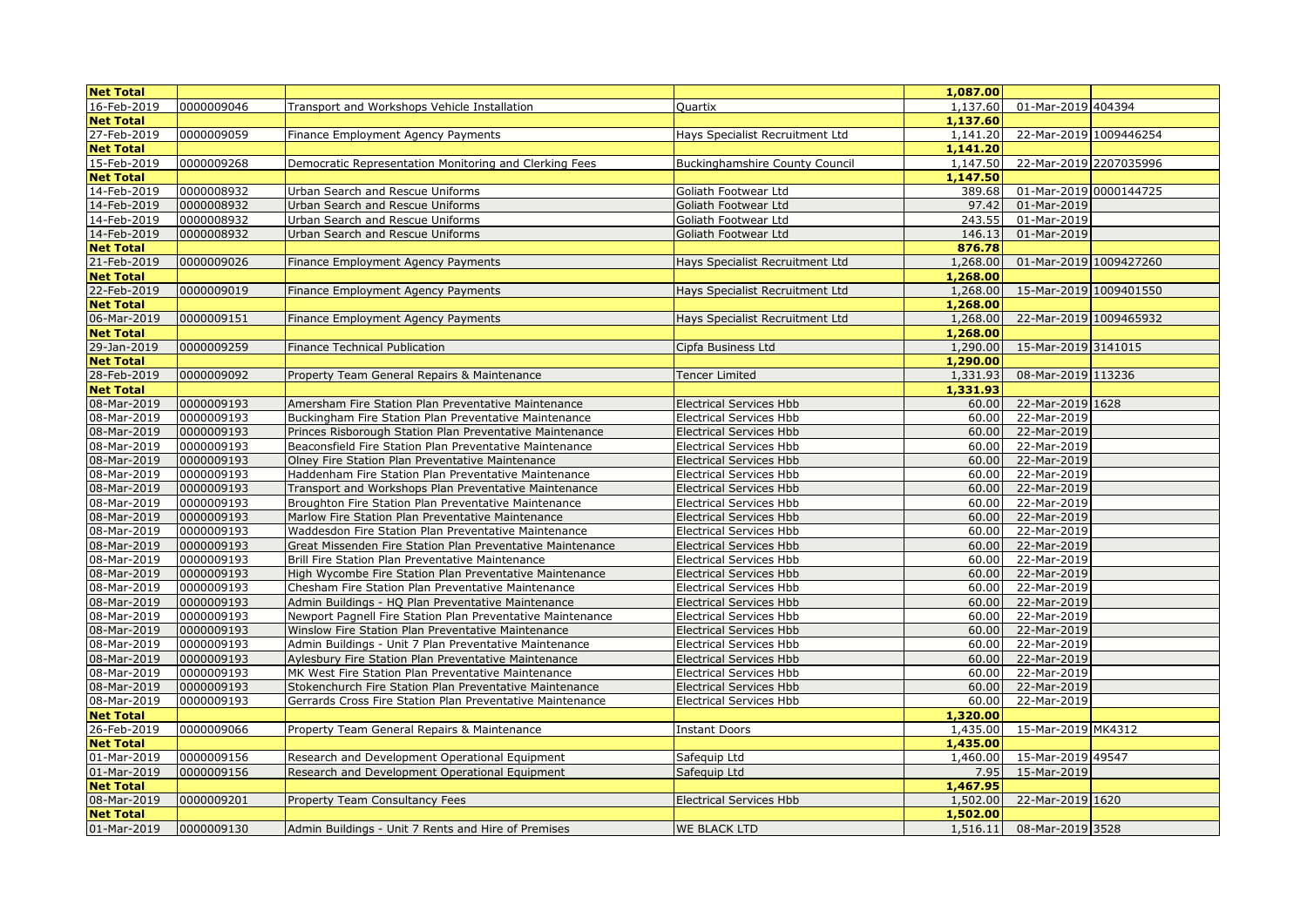| <b>Net Total</b> |            |                                                            |                                       | 1,087.00 |                             |  |
|------------------|------------|------------------------------------------------------------|---------------------------------------|----------|-----------------------------|--|
| 16-Feb-2019      | 0000009046 | Transport and Workshops Vehicle Installation               | Quartix                               |          | 1,137.60 01-Mar-2019 404394 |  |
| <b>Net Total</b> |            |                                                            |                                       | 1,137.60 |                             |  |
| 27-Feb-2019      | 0000009059 | Finance Employment Agency Payments                         | Hays Specialist Recruitment Ltd       | 1,141.20 | 22-Mar-2019 1009446254      |  |
| <b>Net Total</b> |            |                                                            |                                       | 1,141.20 |                             |  |
| 15-Feb-2019      | 0000009268 | Democratic Representation Monitoring and Clerking Fees     | <b>Buckinghamshire County Council</b> | 1,147.50 | 22-Mar-2019 2207035996      |  |
| <b>Net Total</b> |            |                                                            |                                       | 1,147.50 |                             |  |
| 14-Feb-2019      | 0000008932 | Urban Search and Rescue Uniforms                           | Goliath Footwear Ltd                  | 389.68   | 01-Mar-2019 0000144725      |  |
| 14-Feb-2019      | 0000008932 | Urban Search and Rescue Uniforms                           | Goliath Footwear Ltd                  | 97.42    | 01-Mar-2019                 |  |
| 14-Feb-2019      | 0000008932 | Urban Search and Rescue Uniforms                           | Goliath Footwear Ltd                  | 243.55   | 01-Mar-2019                 |  |
| 14-Feb-2019      | 0000008932 | Urban Search and Rescue Uniforms                           | Goliath Footwear Ltd                  | 146.13   | 01-Mar-2019                 |  |
| <b>Net Total</b> |            |                                                            |                                       | 876.78   |                             |  |
| 21-Feb-2019      | 0000009026 | Finance Employment Agency Payments                         | Hays Specialist Recruitment Ltd       | 1,268.00 | 01-Mar-2019 1009427260      |  |
| <b>Net Total</b> |            |                                                            |                                       | 1,268.00 |                             |  |
| 22-Feb-2019      | 0000009019 | Finance Employment Agency Payments                         | Hays Specialist Recruitment Ltd       | 1,268.00 | 15-Mar-2019 1009401550      |  |
| <b>Net Total</b> |            |                                                            |                                       | 1,268.00 |                             |  |
| 06-Mar-2019      | 0000009151 | Finance Employment Agency Payments                         | Hays Specialist Recruitment Ltd       | 1,268.00 | 22-Mar-2019 1009465932      |  |
| <b>Net Total</b> |            |                                                            |                                       | 1,268.00 |                             |  |
| 29-Jan-2019      | 0000009259 | Finance Technical Publication                              | Cipfa Business Ltd                    | 1,290.00 | 15-Mar-2019 3141015         |  |
| <b>Net Total</b> |            |                                                            |                                       | 1,290.00 |                             |  |
| 28-Feb-2019      | 0000009092 | Property Team General Repairs & Maintenance                | Tencer Limited                        | 1,331.93 | 08-Mar-2019 113236          |  |
| <b>Net Total</b> |            |                                                            |                                       | 1,331.93 |                             |  |
| 08-Mar-2019      | 0000009193 | Amersham Fire Station Plan Preventative Maintenance        | <b>Electrical Services Hbb</b>        | 60.00    | 22-Mar-2019 1628            |  |
| 08-Mar-2019      | 0000009193 | Buckingham Fire Station Plan Preventative Maintenance      | <b>Electrical Services Hbb</b>        | 60.00    | 22-Mar-2019                 |  |
| 08-Mar-2019      | 0000009193 | Princes Risborough Station Plan Preventative Maintenance   | <b>Electrical Services Hbb</b>        | 60.00    | 22-Mar-2019                 |  |
| 08-Mar-2019      | 0000009193 | Beaconsfield Fire Station Plan Preventative Maintenance    | <b>Electrical Services Hbb</b>        | 60.00    | 22-Mar-2019                 |  |
| 08-Mar-2019      | 0000009193 | Olney Fire Station Plan Preventative Maintenance           | <b>Electrical Services Hbb</b>        | 60.00    | 22-Mar-2019                 |  |
| 08-Mar-2019      | 0000009193 | Haddenham Fire Station Plan Preventative Maintenance       | <b>Electrical Services Hbb</b>        | 60.00    | 22-Mar-2019                 |  |
| 08-Mar-2019      | 0000009193 | Transport and Workshops Plan Preventative Maintenance      | <b>Electrical Services Hbb</b>        | 60.00    | 22-Mar-2019                 |  |
| 08-Mar-2019      | 0000009193 | Broughton Fire Station Plan Preventative Maintenance       | <b>Electrical Services Hbb</b>        | 60.00    | 22-Mar-2019                 |  |
| 08-Mar-2019      | 0000009193 | Marlow Fire Station Plan Preventative Maintenance          | <b>Electrical Services Hbb</b>        | 60.00    | 22-Mar-2019                 |  |
| 08-Mar-2019      | 0000009193 | Waddesdon Fire Station Plan Preventative Maintenance       | <b>Electrical Services Hbb</b>        | 60.00    | 22-Mar-2019                 |  |
| 08-Mar-2019      | 0000009193 | Great Missenden Fire Station Plan Preventative Maintenance | <b>Electrical Services Hbb</b>        | 60.00    | 22-Mar-2019                 |  |
| 08-Mar-2019      | 0000009193 | Brill Fire Station Plan Preventative Maintenance           | <b>Electrical Services Hbb</b>        | 60.00    | 22-Mar-2019                 |  |
| 08-Mar-2019      | 0000009193 | High Wycombe Fire Station Plan Preventative Maintenance    | <b>Electrical Services Hbb</b>        | 60.00    | 22-Mar-2019                 |  |
| 08-Mar-2019      | 0000009193 | Chesham Fire Station Plan Preventative Maintenance         | <b>Electrical Services Hbb</b>        | 60.00    | 22-Mar-2019                 |  |
| 08-Mar-2019      | 0000009193 | Admin Buildings - HQ Plan Preventative Maintenance         | <b>Electrical Services Hbb</b>        | 60.00    | 22-Mar-2019                 |  |
| 08-Mar-2019      | 0000009193 | Newport Pagnell Fire Station Plan Preventative Maintenance | <b>Electrical Services Hbb</b>        | 60.00    | 22-Mar-2019                 |  |
| 08-Mar-2019      | 0000009193 | Winslow Fire Station Plan Preventative Maintenance         | <b>Electrical Services Hbb</b>        | 60.00    | 22-Mar-2019                 |  |
| 08-Mar-2019      | 0000009193 | Admin Buildings - Unit 7 Plan Preventative Maintenance     | <b>Electrical Services Hbb</b>        | 60.00    | 22-Mar-2019                 |  |
| 08-Mar-2019      | 0000009193 | Aylesbury Fire Station Plan Preventative Maintenance       | <b>Electrical Services Hbb</b>        | 60.00    | 22-Mar-2019                 |  |
| 08-Mar-2019      | 0000009193 | MK West Fire Station Plan Preventative Maintenance         | <b>Electrical Services Hbb</b>        | 60.00    | 22-Mar-2019                 |  |
| 08-Mar-2019      | 0000009193 | Stokenchurch Fire Station Plan Preventative Maintenance    | <b>Electrical Services Hbb</b>        | 60.00    | 22-Mar-2019                 |  |
| 08-Mar-2019      | 0000009193 | Gerrards Cross Fire Station Plan Preventative Maintenance  | <b>Electrical Services Hbb</b>        | 60.00    | 22-Mar-2019                 |  |
| <b>Net Total</b> |            |                                                            |                                       | 1,320.00 |                             |  |
| 26-Feb-2019      | 0000009066 | Property Team General Repairs & Maintenance                | Instant Doors                         |          | 1,435.00 15-Mar-2019 MK4312 |  |
| <b>Net Total</b> |            |                                                            |                                       | 1,435.00 |                             |  |
| 01-Mar-2019      | 0000009156 | Research and Development Operational Equipment             | Safequip Ltd                          | 1,460.00 | 15-Mar-2019 49547           |  |
| 01-Mar-2019      | 0000009156 | Research and Development Operational Equipment             | Safequip Ltd                          | 7.95     | 15-Mar-2019                 |  |
| <b>Net Total</b> |            |                                                            |                                       | 1,467.95 |                             |  |
| 08-Mar-2019      | 0000009201 | Property Team Consultancy Fees                             | <b>Electrical Services Hbb</b>        | 1,502.00 | 22-Mar-2019 1620            |  |
| <b>Net Total</b> |            |                                                            |                                       | 1,502.00 |                             |  |
| 01-Mar-2019      | 0000009130 | Admin Buildings - Unit 7 Rents and Hire of Premises        | WE BLACK LTD                          | 1,516.11 | 08-Mar-2019 3528            |  |
|                  |            |                                                            |                                       |          |                             |  |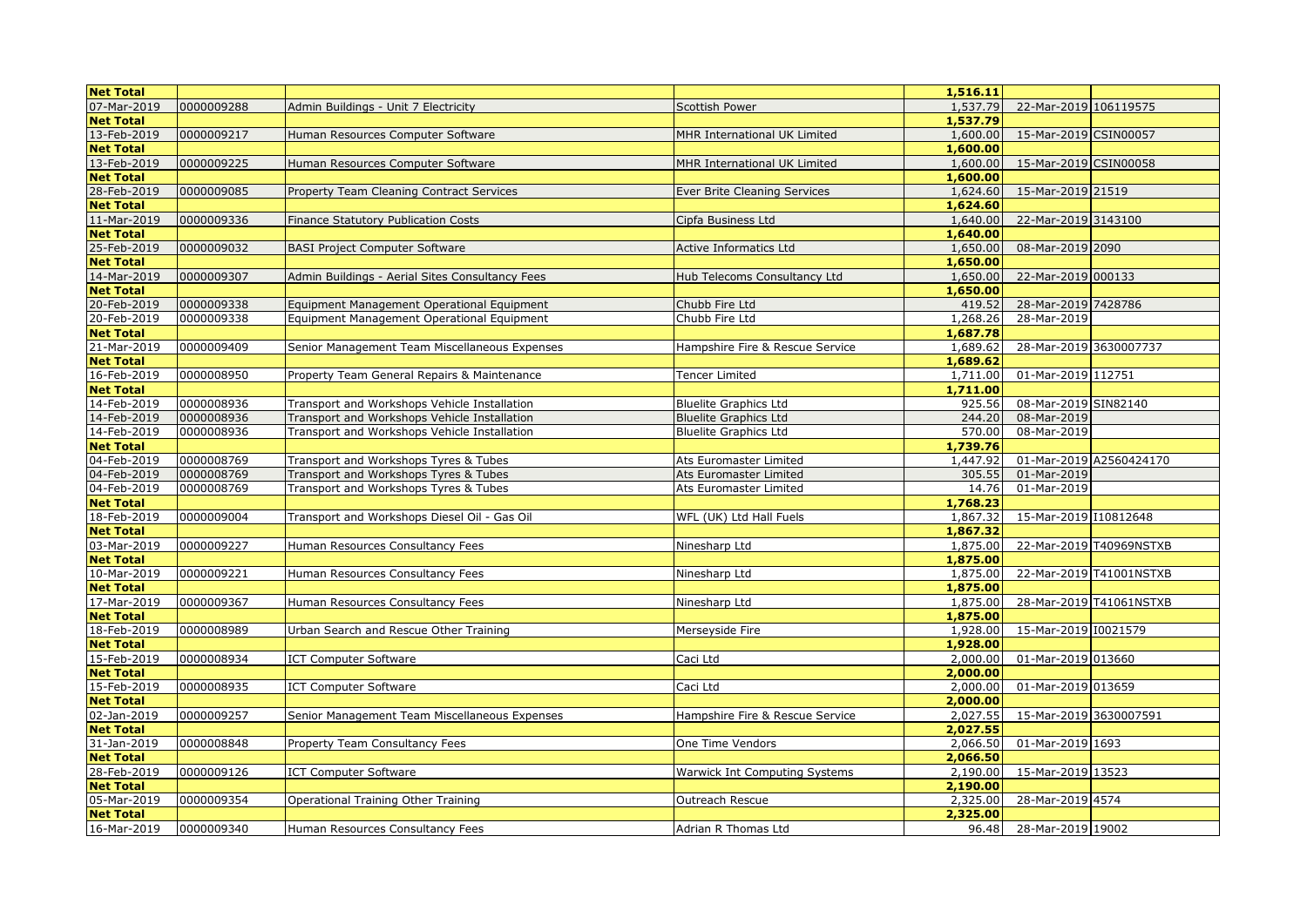| 0000009288<br>Admin Buildings - Unit 7 Electricity<br><b>Scottish Power</b><br>1,537.79<br>22-Mar-2019 106119575<br><b>Net Total</b><br>1,537.79<br>13-Feb-2019<br>0000009217<br>1,600.00<br>15-Mar-2019 CSIN00057<br>Human Resources Computer Software<br>MHR International UK Limited<br><b>Net Total</b><br>1,600.00<br>13-Feb-2019<br>1,600.00<br>15-Mar-2019 CSIN00058<br>0000009225<br>Human Resources Computer Software<br>MHR International UK Limited<br><b>Net Total</b><br>1,600.00<br>28-Feb-2019<br>0000009085<br>1,624.60<br>15-Mar-2019 21519<br>Property Team Cleaning Contract Services<br>Ever Brite Cleaning Services<br><b>Net Total</b><br>1,624.60<br>0000009336<br>1,640.00<br>22-Mar-2019 3143100<br>11-Mar-2019<br>Finance Statutory Publication Costs<br>Cipfa Business Ltd<br><b>Net Total</b><br>1,640.00<br>25-Feb-2019<br>0000009032<br>08-Mar-2019 2090<br><b>BASI Project Computer Software</b><br>1,650.00<br><b>Active Informatics Ltd</b><br><b>Net Total</b><br>1,650.00<br>0000009307<br>22-Mar-2019 000133<br>14-Mar-2019<br>Admin Buildings - Aerial Sites Consultancy Fees<br>Hub Telecoms Consultancy Ltd<br>1,650.00<br>1,650.00<br><b>Net Total</b><br>28-Mar-2019 7428786<br>20-Feb-2019<br>0000009338<br>Chubb Fire Ltd<br>419.52<br>Equipment Management Operational Equipment<br>20-Feb-2019<br>0000009338<br>Chubb Fire Ltd<br>1,268.26<br>28-Mar-2019<br>Equipment Management Operational Equipment<br><b>Net Total</b><br>1,687.78<br>21-Mar-2019<br>0000009409<br>Senior Management Team Miscellaneous Expenses<br>28-Mar-2019 3630007737<br>Hampshire Fire & Rescue Service<br>1,689.62<br><b>Net Total</b><br>1,689.62<br>16-Feb-2019<br>0000008950<br>1,711.00<br>01-Mar-2019 112751<br>Property Team General Repairs & Maintenance<br>Tencer Limited<br><b>Net Total</b><br>1,711.00<br>0000008936<br>14-Feb-2019<br>925.56<br>08-Mar-2019 SIN82140<br>Transport and Workshops Vehicle Installation<br><b>Bluelite Graphics Ltd</b><br>14-Feb-2019<br>0000008936<br>Transport and Workshops Vehicle Installation<br>244.20<br>08-Mar-2019<br><b>Bluelite Graphics Ltd</b><br>08-Mar-2019<br>14-Feb-2019<br>0000008936<br>Transport and Workshops Vehicle Installation<br><b>Bluelite Graphics Ltd</b><br>570.00<br><b>Net Total</b><br>1,739.76<br>04-Feb-2019<br>0000008769<br>01-Mar-2019 A2560424170<br>Transport and Workshops Tyres & Tubes<br>1,447.92<br>Ats Euromaster Limited<br>04-Feb-2019<br>0000008769<br>305.55<br>Transport and Workshops Tyres & Tubes<br>Ats Euromaster Limited<br>01-Mar-2019<br>04-Feb-2019<br>0000008769<br>Transport and Workshops Tyres & Tubes<br>01-Mar-2019<br>Ats Euromaster Limited<br>14.76<br><b>Net Total</b><br>1,768.23<br>0000009004<br>15-Mar-2019 I10812648<br>18-Feb-2019<br>Transport and Workshops Diesel Oil - Gas Oil<br>WFL (UK) Ltd Hall Fuels<br>1,867.32<br>1,867.32<br><b>Net Total</b><br>1,875.00<br>03-Mar-2019<br>0000009227<br>Human Resources Consultancy Fees<br>22-Mar-2019 T40969NSTXB<br>Ninesharp Ltd<br><b>Net Total</b><br>1,875.00<br>0000009221<br>1,875.00<br>22-Mar-2019 T41001NSTXB<br>10-Mar-2019<br>Human Resources Consultancy Fees<br>Ninesharp Ltd<br><b>Net Total</b><br>1,875.00<br>0000009367<br>28-Mar-2019 T41061NSTXB<br>17-Mar-2019<br>1,875.00<br>Human Resources Consultancy Fees<br>Ninesharp Ltd<br><b>Net Total</b><br>1,875.00<br>15-Mar-2019 I0021579<br>18-Feb-2019<br>0000008989<br>1,928.00<br>Urban Search and Rescue Other Training<br>Merseyside Fire<br><b>Net Total</b><br>1,928.00<br>01-Mar-2019 013660<br>15-Feb-2019<br>0000008934<br>Caci Ltd<br>2,000.00<br><b>ICT Computer Software</b><br><b>Net Total</b><br>2,000.00<br>15-Feb-2019<br>0000008935<br><b>ICT Computer Software</b><br>Caci Ltd<br>2,000.00<br>01-Mar-2019 013659<br><b>Net Total</b><br>2,000.00<br>02-Jan-2019<br>0000009257<br>2,027.55<br>15-Mar-2019 3630007591<br>Senior Management Team Miscellaneous Expenses<br>Hampshire Fire & Rescue Service<br><b>Net Total</b><br>2,027.55<br>01-Mar-2019 1693<br>31-Jan-2019<br>0000008848<br>2,066.50<br>Property Team Consultancy Fees<br>One Time Vendors<br>2,066.50<br><b>Net Total</b><br>28-Feb-2019<br>0000009126<br>2,190.00 15-Mar-2019 13523<br><b>ICT Computer Software</b><br><b>Warwick Int Computing Systems</b><br><b>Net Total</b><br>2,190.00<br>05-Mar-2019<br>0000009354<br>2,325.00<br>28-Mar-2019 4574<br>Operational Training Other Training<br>Outreach Rescue<br><b>Net Total</b><br>2,325.00<br>96.48 28-Mar-2019 19002 | <b>Net Total</b> |            |                                  |                     | 1,516.11 |  |
|-------------------------------------------------------------------------------------------------------------------------------------------------------------------------------------------------------------------------------------------------------------------------------------------------------------------------------------------------------------------------------------------------------------------------------------------------------------------------------------------------------------------------------------------------------------------------------------------------------------------------------------------------------------------------------------------------------------------------------------------------------------------------------------------------------------------------------------------------------------------------------------------------------------------------------------------------------------------------------------------------------------------------------------------------------------------------------------------------------------------------------------------------------------------------------------------------------------------------------------------------------------------------------------------------------------------------------------------------------------------------------------------------------------------------------------------------------------------------------------------------------------------------------------------------------------------------------------------------------------------------------------------------------------------------------------------------------------------------------------------------------------------------------------------------------------------------------------------------------------------------------------------------------------------------------------------------------------------------------------------------------------------------------------------------------------------------------------------------------------------------------------------------------------------------------------------------------------------------------------------------------------------------------------------------------------------------------------------------------------------------------------------------------------------------------------------------------------------------------------------------------------------------------------------------------------------------------------------------------------------------------------------------------------------------------------------------------------------------------------------------------------------------------------------------------------------------------------------------------------------------------------------------------------------------------------------------------------------------------------------------------------------------------------------------------------------------------------------------------------------------------------------------------------------------------------------------------------------------------------------------------------------------------------------------------------------------------------------------------------------------------------------------------------------------------------------------------------------------------------------------------------------------------------------------------------------------------------------------------------------------------------------------------------------------------------------------------------------------------------------------------------------------------------------------------------------------------------------------------------------------------------------------------------------------------------------------------------------------------------------------------------------------------------------------------------------------------------------------------------------------------------------------------------------------------------------------------------------------------------------------------------------------------------------------------------------------------------------------------------------------------------------------------------------------------------------------------------------------------------------------------------------------------------------|------------------|------------|----------------------------------|---------------------|----------|--|
|                                                                                                                                                                                                                                                                                                                                                                                                                                                                                                                                                                                                                                                                                                                                                                                                                                                                                                                                                                                                                                                                                                                                                                                                                                                                                                                                                                                                                                                                                                                                                                                                                                                                                                                                                                                                                                                                                                                                                                                                                                                                                                                                                                                                                                                                                                                                                                                                                                                                                                                                                                                                                                                                                                                                                                                                                                                                                                                                                                                                                                                                                                                                                                                                                                                                                                                                                                                                                                                                                                                                                                                                                                                                                                                                                                                                                                                                                                                                                                                                                                                                                                                                                                                                                                                                                                                                                                                                                                                                                                                                           | 07-Mar-2019      |            |                                  |                     |          |  |
|                                                                                                                                                                                                                                                                                                                                                                                                                                                                                                                                                                                                                                                                                                                                                                                                                                                                                                                                                                                                                                                                                                                                                                                                                                                                                                                                                                                                                                                                                                                                                                                                                                                                                                                                                                                                                                                                                                                                                                                                                                                                                                                                                                                                                                                                                                                                                                                                                                                                                                                                                                                                                                                                                                                                                                                                                                                                                                                                                                                                                                                                                                                                                                                                                                                                                                                                                                                                                                                                                                                                                                                                                                                                                                                                                                                                                                                                                                                                                                                                                                                                                                                                                                                                                                                                                                                                                                                                                                                                                                                                           |                  |            |                                  |                     |          |  |
|                                                                                                                                                                                                                                                                                                                                                                                                                                                                                                                                                                                                                                                                                                                                                                                                                                                                                                                                                                                                                                                                                                                                                                                                                                                                                                                                                                                                                                                                                                                                                                                                                                                                                                                                                                                                                                                                                                                                                                                                                                                                                                                                                                                                                                                                                                                                                                                                                                                                                                                                                                                                                                                                                                                                                                                                                                                                                                                                                                                                                                                                                                                                                                                                                                                                                                                                                                                                                                                                                                                                                                                                                                                                                                                                                                                                                                                                                                                                                                                                                                                                                                                                                                                                                                                                                                                                                                                                                                                                                                                                           |                  |            |                                  |                     |          |  |
|                                                                                                                                                                                                                                                                                                                                                                                                                                                                                                                                                                                                                                                                                                                                                                                                                                                                                                                                                                                                                                                                                                                                                                                                                                                                                                                                                                                                                                                                                                                                                                                                                                                                                                                                                                                                                                                                                                                                                                                                                                                                                                                                                                                                                                                                                                                                                                                                                                                                                                                                                                                                                                                                                                                                                                                                                                                                                                                                                                                                                                                                                                                                                                                                                                                                                                                                                                                                                                                                                                                                                                                                                                                                                                                                                                                                                                                                                                                                                                                                                                                                                                                                                                                                                                                                                                                                                                                                                                                                                                                                           |                  |            |                                  |                     |          |  |
|                                                                                                                                                                                                                                                                                                                                                                                                                                                                                                                                                                                                                                                                                                                                                                                                                                                                                                                                                                                                                                                                                                                                                                                                                                                                                                                                                                                                                                                                                                                                                                                                                                                                                                                                                                                                                                                                                                                                                                                                                                                                                                                                                                                                                                                                                                                                                                                                                                                                                                                                                                                                                                                                                                                                                                                                                                                                                                                                                                                                                                                                                                                                                                                                                                                                                                                                                                                                                                                                                                                                                                                                                                                                                                                                                                                                                                                                                                                                                                                                                                                                                                                                                                                                                                                                                                                                                                                                                                                                                                                                           |                  |            |                                  |                     |          |  |
|                                                                                                                                                                                                                                                                                                                                                                                                                                                                                                                                                                                                                                                                                                                                                                                                                                                                                                                                                                                                                                                                                                                                                                                                                                                                                                                                                                                                                                                                                                                                                                                                                                                                                                                                                                                                                                                                                                                                                                                                                                                                                                                                                                                                                                                                                                                                                                                                                                                                                                                                                                                                                                                                                                                                                                                                                                                                                                                                                                                                                                                                                                                                                                                                                                                                                                                                                                                                                                                                                                                                                                                                                                                                                                                                                                                                                                                                                                                                                                                                                                                                                                                                                                                                                                                                                                                                                                                                                                                                                                                                           |                  |            |                                  |                     |          |  |
|                                                                                                                                                                                                                                                                                                                                                                                                                                                                                                                                                                                                                                                                                                                                                                                                                                                                                                                                                                                                                                                                                                                                                                                                                                                                                                                                                                                                                                                                                                                                                                                                                                                                                                                                                                                                                                                                                                                                                                                                                                                                                                                                                                                                                                                                                                                                                                                                                                                                                                                                                                                                                                                                                                                                                                                                                                                                                                                                                                                                                                                                                                                                                                                                                                                                                                                                                                                                                                                                                                                                                                                                                                                                                                                                                                                                                                                                                                                                                                                                                                                                                                                                                                                                                                                                                                                                                                                                                                                                                                                                           |                  |            |                                  |                     |          |  |
|                                                                                                                                                                                                                                                                                                                                                                                                                                                                                                                                                                                                                                                                                                                                                                                                                                                                                                                                                                                                                                                                                                                                                                                                                                                                                                                                                                                                                                                                                                                                                                                                                                                                                                                                                                                                                                                                                                                                                                                                                                                                                                                                                                                                                                                                                                                                                                                                                                                                                                                                                                                                                                                                                                                                                                                                                                                                                                                                                                                                                                                                                                                                                                                                                                                                                                                                                                                                                                                                                                                                                                                                                                                                                                                                                                                                                                                                                                                                                                                                                                                                                                                                                                                                                                                                                                                                                                                                                                                                                                                                           |                  |            |                                  |                     |          |  |
|                                                                                                                                                                                                                                                                                                                                                                                                                                                                                                                                                                                                                                                                                                                                                                                                                                                                                                                                                                                                                                                                                                                                                                                                                                                                                                                                                                                                                                                                                                                                                                                                                                                                                                                                                                                                                                                                                                                                                                                                                                                                                                                                                                                                                                                                                                                                                                                                                                                                                                                                                                                                                                                                                                                                                                                                                                                                                                                                                                                                                                                                                                                                                                                                                                                                                                                                                                                                                                                                                                                                                                                                                                                                                                                                                                                                                                                                                                                                                                                                                                                                                                                                                                                                                                                                                                                                                                                                                                                                                                                                           |                  |            |                                  |                     |          |  |
|                                                                                                                                                                                                                                                                                                                                                                                                                                                                                                                                                                                                                                                                                                                                                                                                                                                                                                                                                                                                                                                                                                                                                                                                                                                                                                                                                                                                                                                                                                                                                                                                                                                                                                                                                                                                                                                                                                                                                                                                                                                                                                                                                                                                                                                                                                                                                                                                                                                                                                                                                                                                                                                                                                                                                                                                                                                                                                                                                                                                                                                                                                                                                                                                                                                                                                                                                                                                                                                                                                                                                                                                                                                                                                                                                                                                                                                                                                                                                                                                                                                                                                                                                                                                                                                                                                                                                                                                                                                                                                                                           |                  |            |                                  |                     |          |  |
|                                                                                                                                                                                                                                                                                                                                                                                                                                                                                                                                                                                                                                                                                                                                                                                                                                                                                                                                                                                                                                                                                                                                                                                                                                                                                                                                                                                                                                                                                                                                                                                                                                                                                                                                                                                                                                                                                                                                                                                                                                                                                                                                                                                                                                                                                                                                                                                                                                                                                                                                                                                                                                                                                                                                                                                                                                                                                                                                                                                                                                                                                                                                                                                                                                                                                                                                                                                                                                                                                                                                                                                                                                                                                                                                                                                                                                                                                                                                                                                                                                                                                                                                                                                                                                                                                                                                                                                                                                                                                                                                           |                  |            |                                  |                     |          |  |
|                                                                                                                                                                                                                                                                                                                                                                                                                                                                                                                                                                                                                                                                                                                                                                                                                                                                                                                                                                                                                                                                                                                                                                                                                                                                                                                                                                                                                                                                                                                                                                                                                                                                                                                                                                                                                                                                                                                                                                                                                                                                                                                                                                                                                                                                                                                                                                                                                                                                                                                                                                                                                                                                                                                                                                                                                                                                                                                                                                                                                                                                                                                                                                                                                                                                                                                                                                                                                                                                                                                                                                                                                                                                                                                                                                                                                                                                                                                                                                                                                                                                                                                                                                                                                                                                                                                                                                                                                                                                                                                                           |                  |            |                                  |                     |          |  |
|                                                                                                                                                                                                                                                                                                                                                                                                                                                                                                                                                                                                                                                                                                                                                                                                                                                                                                                                                                                                                                                                                                                                                                                                                                                                                                                                                                                                                                                                                                                                                                                                                                                                                                                                                                                                                                                                                                                                                                                                                                                                                                                                                                                                                                                                                                                                                                                                                                                                                                                                                                                                                                                                                                                                                                                                                                                                                                                                                                                                                                                                                                                                                                                                                                                                                                                                                                                                                                                                                                                                                                                                                                                                                                                                                                                                                                                                                                                                                                                                                                                                                                                                                                                                                                                                                                                                                                                                                                                                                                                                           |                  |            |                                  |                     |          |  |
|                                                                                                                                                                                                                                                                                                                                                                                                                                                                                                                                                                                                                                                                                                                                                                                                                                                                                                                                                                                                                                                                                                                                                                                                                                                                                                                                                                                                                                                                                                                                                                                                                                                                                                                                                                                                                                                                                                                                                                                                                                                                                                                                                                                                                                                                                                                                                                                                                                                                                                                                                                                                                                                                                                                                                                                                                                                                                                                                                                                                                                                                                                                                                                                                                                                                                                                                                                                                                                                                                                                                                                                                                                                                                                                                                                                                                                                                                                                                                                                                                                                                                                                                                                                                                                                                                                                                                                                                                                                                                                                                           |                  |            |                                  |                     |          |  |
|                                                                                                                                                                                                                                                                                                                                                                                                                                                                                                                                                                                                                                                                                                                                                                                                                                                                                                                                                                                                                                                                                                                                                                                                                                                                                                                                                                                                                                                                                                                                                                                                                                                                                                                                                                                                                                                                                                                                                                                                                                                                                                                                                                                                                                                                                                                                                                                                                                                                                                                                                                                                                                                                                                                                                                                                                                                                                                                                                                                                                                                                                                                                                                                                                                                                                                                                                                                                                                                                                                                                                                                                                                                                                                                                                                                                                                                                                                                                                                                                                                                                                                                                                                                                                                                                                                                                                                                                                                                                                                                                           |                  |            |                                  |                     |          |  |
|                                                                                                                                                                                                                                                                                                                                                                                                                                                                                                                                                                                                                                                                                                                                                                                                                                                                                                                                                                                                                                                                                                                                                                                                                                                                                                                                                                                                                                                                                                                                                                                                                                                                                                                                                                                                                                                                                                                                                                                                                                                                                                                                                                                                                                                                                                                                                                                                                                                                                                                                                                                                                                                                                                                                                                                                                                                                                                                                                                                                                                                                                                                                                                                                                                                                                                                                                                                                                                                                                                                                                                                                                                                                                                                                                                                                                                                                                                                                                                                                                                                                                                                                                                                                                                                                                                                                                                                                                                                                                                                                           |                  |            |                                  |                     |          |  |
|                                                                                                                                                                                                                                                                                                                                                                                                                                                                                                                                                                                                                                                                                                                                                                                                                                                                                                                                                                                                                                                                                                                                                                                                                                                                                                                                                                                                                                                                                                                                                                                                                                                                                                                                                                                                                                                                                                                                                                                                                                                                                                                                                                                                                                                                                                                                                                                                                                                                                                                                                                                                                                                                                                                                                                                                                                                                                                                                                                                                                                                                                                                                                                                                                                                                                                                                                                                                                                                                                                                                                                                                                                                                                                                                                                                                                                                                                                                                                                                                                                                                                                                                                                                                                                                                                                                                                                                                                                                                                                                                           |                  |            |                                  |                     |          |  |
|                                                                                                                                                                                                                                                                                                                                                                                                                                                                                                                                                                                                                                                                                                                                                                                                                                                                                                                                                                                                                                                                                                                                                                                                                                                                                                                                                                                                                                                                                                                                                                                                                                                                                                                                                                                                                                                                                                                                                                                                                                                                                                                                                                                                                                                                                                                                                                                                                                                                                                                                                                                                                                                                                                                                                                                                                                                                                                                                                                                                                                                                                                                                                                                                                                                                                                                                                                                                                                                                                                                                                                                                                                                                                                                                                                                                                                                                                                                                                                                                                                                                                                                                                                                                                                                                                                                                                                                                                                                                                                                                           |                  |            |                                  |                     |          |  |
|                                                                                                                                                                                                                                                                                                                                                                                                                                                                                                                                                                                                                                                                                                                                                                                                                                                                                                                                                                                                                                                                                                                                                                                                                                                                                                                                                                                                                                                                                                                                                                                                                                                                                                                                                                                                                                                                                                                                                                                                                                                                                                                                                                                                                                                                                                                                                                                                                                                                                                                                                                                                                                                                                                                                                                                                                                                                                                                                                                                                                                                                                                                                                                                                                                                                                                                                                                                                                                                                                                                                                                                                                                                                                                                                                                                                                                                                                                                                                                                                                                                                                                                                                                                                                                                                                                                                                                                                                                                                                                                                           |                  |            |                                  |                     |          |  |
|                                                                                                                                                                                                                                                                                                                                                                                                                                                                                                                                                                                                                                                                                                                                                                                                                                                                                                                                                                                                                                                                                                                                                                                                                                                                                                                                                                                                                                                                                                                                                                                                                                                                                                                                                                                                                                                                                                                                                                                                                                                                                                                                                                                                                                                                                                                                                                                                                                                                                                                                                                                                                                                                                                                                                                                                                                                                                                                                                                                                                                                                                                                                                                                                                                                                                                                                                                                                                                                                                                                                                                                                                                                                                                                                                                                                                                                                                                                                                                                                                                                                                                                                                                                                                                                                                                                                                                                                                                                                                                                                           |                  |            |                                  |                     |          |  |
|                                                                                                                                                                                                                                                                                                                                                                                                                                                                                                                                                                                                                                                                                                                                                                                                                                                                                                                                                                                                                                                                                                                                                                                                                                                                                                                                                                                                                                                                                                                                                                                                                                                                                                                                                                                                                                                                                                                                                                                                                                                                                                                                                                                                                                                                                                                                                                                                                                                                                                                                                                                                                                                                                                                                                                                                                                                                                                                                                                                                                                                                                                                                                                                                                                                                                                                                                                                                                                                                                                                                                                                                                                                                                                                                                                                                                                                                                                                                                                                                                                                                                                                                                                                                                                                                                                                                                                                                                                                                                                                                           |                  |            |                                  |                     |          |  |
|                                                                                                                                                                                                                                                                                                                                                                                                                                                                                                                                                                                                                                                                                                                                                                                                                                                                                                                                                                                                                                                                                                                                                                                                                                                                                                                                                                                                                                                                                                                                                                                                                                                                                                                                                                                                                                                                                                                                                                                                                                                                                                                                                                                                                                                                                                                                                                                                                                                                                                                                                                                                                                                                                                                                                                                                                                                                                                                                                                                                                                                                                                                                                                                                                                                                                                                                                                                                                                                                                                                                                                                                                                                                                                                                                                                                                                                                                                                                                                                                                                                                                                                                                                                                                                                                                                                                                                                                                                                                                                                                           |                  |            |                                  |                     |          |  |
|                                                                                                                                                                                                                                                                                                                                                                                                                                                                                                                                                                                                                                                                                                                                                                                                                                                                                                                                                                                                                                                                                                                                                                                                                                                                                                                                                                                                                                                                                                                                                                                                                                                                                                                                                                                                                                                                                                                                                                                                                                                                                                                                                                                                                                                                                                                                                                                                                                                                                                                                                                                                                                                                                                                                                                                                                                                                                                                                                                                                                                                                                                                                                                                                                                                                                                                                                                                                                                                                                                                                                                                                                                                                                                                                                                                                                                                                                                                                                                                                                                                                                                                                                                                                                                                                                                                                                                                                                                                                                                                                           |                  |            |                                  |                     |          |  |
|                                                                                                                                                                                                                                                                                                                                                                                                                                                                                                                                                                                                                                                                                                                                                                                                                                                                                                                                                                                                                                                                                                                                                                                                                                                                                                                                                                                                                                                                                                                                                                                                                                                                                                                                                                                                                                                                                                                                                                                                                                                                                                                                                                                                                                                                                                                                                                                                                                                                                                                                                                                                                                                                                                                                                                                                                                                                                                                                                                                                                                                                                                                                                                                                                                                                                                                                                                                                                                                                                                                                                                                                                                                                                                                                                                                                                                                                                                                                                                                                                                                                                                                                                                                                                                                                                                                                                                                                                                                                                                                                           |                  |            |                                  |                     |          |  |
|                                                                                                                                                                                                                                                                                                                                                                                                                                                                                                                                                                                                                                                                                                                                                                                                                                                                                                                                                                                                                                                                                                                                                                                                                                                                                                                                                                                                                                                                                                                                                                                                                                                                                                                                                                                                                                                                                                                                                                                                                                                                                                                                                                                                                                                                                                                                                                                                                                                                                                                                                                                                                                                                                                                                                                                                                                                                                                                                                                                                                                                                                                                                                                                                                                                                                                                                                                                                                                                                                                                                                                                                                                                                                                                                                                                                                                                                                                                                                                                                                                                                                                                                                                                                                                                                                                                                                                                                                                                                                                                                           |                  |            |                                  |                     |          |  |
|                                                                                                                                                                                                                                                                                                                                                                                                                                                                                                                                                                                                                                                                                                                                                                                                                                                                                                                                                                                                                                                                                                                                                                                                                                                                                                                                                                                                                                                                                                                                                                                                                                                                                                                                                                                                                                                                                                                                                                                                                                                                                                                                                                                                                                                                                                                                                                                                                                                                                                                                                                                                                                                                                                                                                                                                                                                                                                                                                                                                                                                                                                                                                                                                                                                                                                                                                                                                                                                                                                                                                                                                                                                                                                                                                                                                                                                                                                                                                                                                                                                                                                                                                                                                                                                                                                                                                                                                                                                                                                                                           |                  |            |                                  |                     |          |  |
|                                                                                                                                                                                                                                                                                                                                                                                                                                                                                                                                                                                                                                                                                                                                                                                                                                                                                                                                                                                                                                                                                                                                                                                                                                                                                                                                                                                                                                                                                                                                                                                                                                                                                                                                                                                                                                                                                                                                                                                                                                                                                                                                                                                                                                                                                                                                                                                                                                                                                                                                                                                                                                                                                                                                                                                                                                                                                                                                                                                                                                                                                                                                                                                                                                                                                                                                                                                                                                                                                                                                                                                                                                                                                                                                                                                                                                                                                                                                                                                                                                                                                                                                                                                                                                                                                                                                                                                                                                                                                                                                           |                  |            |                                  |                     |          |  |
|                                                                                                                                                                                                                                                                                                                                                                                                                                                                                                                                                                                                                                                                                                                                                                                                                                                                                                                                                                                                                                                                                                                                                                                                                                                                                                                                                                                                                                                                                                                                                                                                                                                                                                                                                                                                                                                                                                                                                                                                                                                                                                                                                                                                                                                                                                                                                                                                                                                                                                                                                                                                                                                                                                                                                                                                                                                                                                                                                                                                                                                                                                                                                                                                                                                                                                                                                                                                                                                                                                                                                                                                                                                                                                                                                                                                                                                                                                                                                                                                                                                                                                                                                                                                                                                                                                                                                                                                                                                                                                                                           |                  |            |                                  |                     |          |  |
|                                                                                                                                                                                                                                                                                                                                                                                                                                                                                                                                                                                                                                                                                                                                                                                                                                                                                                                                                                                                                                                                                                                                                                                                                                                                                                                                                                                                                                                                                                                                                                                                                                                                                                                                                                                                                                                                                                                                                                                                                                                                                                                                                                                                                                                                                                                                                                                                                                                                                                                                                                                                                                                                                                                                                                                                                                                                                                                                                                                                                                                                                                                                                                                                                                                                                                                                                                                                                                                                                                                                                                                                                                                                                                                                                                                                                                                                                                                                                                                                                                                                                                                                                                                                                                                                                                                                                                                                                                                                                                                                           |                  |            |                                  |                     |          |  |
|                                                                                                                                                                                                                                                                                                                                                                                                                                                                                                                                                                                                                                                                                                                                                                                                                                                                                                                                                                                                                                                                                                                                                                                                                                                                                                                                                                                                                                                                                                                                                                                                                                                                                                                                                                                                                                                                                                                                                                                                                                                                                                                                                                                                                                                                                                                                                                                                                                                                                                                                                                                                                                                                                                                                                                                                                                                                                                                                                                                                                                                                                                                                                                                                                                                                                                                                                                                                                                                                                                                                                                                                                                                                                                                                                                                                                                                                                                                                                                                                                                                                                                                                                                                                                                                                                                                                                                                                                                                                                                                                           |                  |            |                                  |                     |          |  |
|                                                                                                                                                                                                                                                                                                                                                                                                                                                                                                                                                                                                                                                                                                                                                                                                                                                                                                                                                                                                                                                                                                                                                                                                                                                                                                                                                                                                                                                                                                                                                                                                                                                                                                                                                                                                                                                                                                                                                                                                                                                                                                                                                                                                                                                                                                                                                                                                                                                                                                                                                                                                                                                                                                                                                                                                                                                                                                                                                                                                                                                                                                                                                                                                                                                                                                                                                                                                                                                                                                                                                                                                                                                                                                                                                                                                                                                                                                                                                                                                                                                                                                                                                                                                                                                                                                                                                                                                                                                                                                                                           |                  |            |                                  |                     |          |  |
|                                                                                                                                                                                                                                                                                                                                                                                                                                                                                                                                                                                                                                                                                                                                                                                                                                                                                                                                                                                                                                                                                                                                                                                                                                                                                                                                                                                                                                                                                                                                                                                                                                                                                                                                                                                                                                                                                                                                                                                                                                                                                                                                                                                                                                                                                                                                                                                                                                                                                                                                                                                                                                                                                                                                                                                                                                                                                                                                                                                                                                                                                                                                                                                                                                                                                                                                                                                                                                                                                                                                                                                                                                                                                                                                                                                                                                                                                                                                                                                                                                                                                                                                                                                                                                                                                                                                                                                                                                                                                                                                           |                  |            |                                  |                     |          |  |
|                                                                                                                                                                                                                                                                                                                                                                                                                                                                                                                                                                                                                                                                                                                                                                                                                                                                                                                                                                                                                                                                                                                                                                                                                                                                                                                                                                                                                                                                                                                                                                                                                                                                                                                                                                                                                                                                                                                                                                                                                                                                                                                                                                                                                                                                                                                                                                                                                                                                                                                                                                                                                                                                                                                                                                                                                                                                                                                                                                                                                                                                                                                                                                                                                                                                                                                                                                                                                                                                                                                                                                                                                                                                                                                                                                                                                                                                                                                                                                                                                                                                                                                                                                                                                                                                                                                                                                                                                                                                                                                                           |                  |            |                                  |                     |          |  |
|                                                                                                                                                                                                                                                                                                                                                                                                                                                                                                                                                                                                                                                                                                                                                                                                                                                                                                                                                                                                                                                                                                                                                                                                                                                                                                                                                                                                                                                                                                                                                                                                                                                                                                                                                                                                                                                                                                                                                                                                                                                                                                                                                                                                                                                                                                                                                                                                                                                                                                                                                                                                                                                                                                                                                                                                                                                                                                                                                                                                                                                                                                                                                                                                                                                                                                                                                                                                                                                                                                                                                                                                                                                                                                                                                                                                                                                                                                                                                                                                                                                                                                                                                                                                                                                                                                                                                                                                                                                                                                                                           |                  |            |                                  |                     |          |  |
|                                                                                                                                                                                                                                                                                                                                                                                                                                                                                                                                                                                                                                                                                                                                                                                                                                                                                                                                                                                                                                                                                                                                                                                                                                                                                                                                                                                                                                                                                                                                                                                                                                                                                                                                                                                                                                                                                                                                                                                                                                                                                                                                                                                                                                                                                                                                                                                                                                                                                                                                                                                                                                                                                                                                                                                                                                                                                                                                                                                                                                                                                                                                                                                                                                                                                                                                                                                                                                                                                                                                                                                                                                                                                                                                                                                                                                                                                                                                                                                                                                                                                                                                                                                                                                                                                                                                                                                                                                                                                                                                           |                  |            |                                  |                     |          |  |
|                                                                                                                                                                                                                                                                                                                                                                                                                                                                                                                                                                                                                                                                                                                                                                                                                                                                                                                                                                                                                                                                                                                                                                                                                                                                                                                                                                                                                                                                                                                                                                                                                                                                                                                                                                                                                                                                                                                                                                                                                                                                                                                                                                                                                                                                                                                                                                                                                                                                                                                                                                                                                                                                                                                                                                                                                                                                                                                                                                                                                                                                                                                                                                                                                                                                                                                                                                                                                                                                                                                                                                                                                                                                                                                                                                                                                                                                                                                                                                                                                                                                                                                                                                                                                                                                                                                                                                                                                                                                                                                                           |                  |            |                                  |                     |          |  |
|                                                                                                                                                                                                                                                                                                                                                                                                                                                                                                                                                                                                                                                                                                                                                                                                                                                                                                                                                                                                                                                                                                                                                                                                                                                                                                                                                                                                                                                                                                                                                                                                                                                                                                                                                                                                                                                                                                                                                                                                                                                                                                                                                                                                                                                                                                                                                                                                                                                                                                                                                                                                                                                                                                                                                                                                                                                                                                                                                                                                                                                                                                                                                                                                                                                                                                                                                                                                                                                                                                                                                                                                                                                                                                                                                                                                                                                                                                                                                                                                                                                                                                                                                                                                                                                                                                                                                                                                                                                                                                                                           |                  |            |                                  |                     |          |  |
|                                                                                                                                                                                                                                                                                                                                                                                                                                                                                                                                                                                                                                                                                                                                                                                                                                                                                                                                                                                                                                                                                                                                                                                                                                                                                                                                                                                                                                                                                                                                                                                                                                                                                                                                                                                                                                                                                                                                                                                                                                                                                                                                                                                                                                                                                                                                                                                                                                                                                                                                                                                                                                                                                                                                                                                                                                                                                                                                                                                                                                                                                                                                                                                                                                                                                                                                                                                                                                                                                                                                                                                                                                                                                                                                                                                                                                                                                                                                                                                                                                                                                                                                                                                                                                                                                                                                                                                                                                                                                                                                           |                  |            |                                  |                     |          |  |
|                                                                                                                                                                                                                                                                                                                                                                                                                                                                                                                                                                                                                                                                                                                                                                                                                                                                                                                                                                                                                                                                                                                                                                                                                                                                                                                                                                                                                                                                                                                                                                                                                                                                                                                                                                                                                                                                                                                                                                                                                                                                                                                                                                                                                                                                                                                                                                                                                                                                                                                                                                                                                                                                                                                                                                                                                                                                                                                                                                                                                                                                                                                                                                                                                                                                                                                                                                                                                                                                                                                                                                                                                                                                                                                                                                                                                                                                                                                                                                                                                                                                                                                                                                                                                                                                                                                                                                                                                                                                                                                                           |                  |            |                                  |                     |          |  |
|                                                                                                                                                                                                                                                                                                                                                                                                                                                                                                                                                                                                                                                                                                                                                                                                                                                                                                                                                                                                                                                                                                                                                                                                                                                                                                                                                                                                                                                                                                                                                                                                                                                                                                                                                                                                                                                                                                                                                                                                                                                                                                                                                                                                                                                                                                                                                                                                                                                                                                                                                                                                                                                                                                                                                                                                                                                                                                                                                                                                                                                                                                                                                                                                                                                                                                                                                                                                                                                                                                                                                                                                                                                                                                                                                                                                                                                                                                                                                                                                                                                                                                                                                                                                                                                                                                                                                                                                                                                                                                                                           |                  |            |                                  |                     |          |  |
|                                                                                                                                                                                                                                                                                                                                                                                                                                                                                                                                                                                                                                                                                                                                                                                                                                                                                                                                                                                                                                                                                                                                                                                                                                                                                                                                                                                                                                                                                                                                                                                                                                                                                                                                                                                                                                                                                                                                                                                                                                                                                                                                                                                                                                                                                                                                                                                                                                                                                                                                                                                                                                                                                                                                                                                                                                                                                                                                                                                                                                                                                                                                                                                                                                                                                                                                                                                                                                                                                                                                                                                                                                                                                                                                                                                                                                                                                                                                                                                                                                                                                                                                                                                                                                                                                                                                                                                                                                                                                                                                           |                  |            |                                  |                     |          |  |
|                                                                                                                                                                                                                                                                                                                                                                                                                                                                                                                                                                                                                                                                                                                                                                                                                                                                                                                                                                                                                                                                                                                                                                                                                                                                                                                                                                                                                                                                                                                                                                                                                                                                                                                                                                                                                                                                                                                                                                                                                                                                                                                                                                                                                                                                                                                                                                                                                                                                                                                                                                                                                                                                                                                                                                                                                                                                                                                                                                                                                                                                                                                                                                                                                                                                                                                                                                                                                                                                                                                                                                                                                                                                                                                                                                                                                                                                                                                                                                                                                                                                                                                                                                                                                                                                                                                                                                                                                                                                                                                                           |                  |            |                                  |                     |          |  |
|                                                                                                                                                                                                                                                                                                                                                                                                                                                                                                                                                                                                                                                                                                                                                                                                                                                                                                                                                                                                                                                                                                                                                                                                                                                                                                                                                                                                                                                                                                                                                                                                                                                                                                                                                                                                                                                                                                                                                                                                                                                                                                                                                                                                                                                                                                                                                                                                                                                                                                                                                                                                                                                                                                                                                                                                                                                                                                                                                                                                                                                                                                                                                                                                                                                                                                                                                                                                                                                                                                                                                                                                                                                                                                                                                                                                                                                                                                                                                                                                                                                                                                                                                                                                                                                                                                                                                                                                                                                                                                                                           |                  |            |                                  |                     |          |  |
|                                                                                                                                                                                                                                                                                                                                                                                                                                                                                                                                                                                                                                                                                                                                                                                                                                                                                                                                                                                                                                                                                                                                                                                                                                                                                                                                                                                                                                                                                                                                                                                                                                                                                                                                                                                                                                                                                                                                                                                                                                                                                                                                                                                                                                                                                                                                                                                                                                                                                                                                                                                                                                                                                                                                                                                                                                                                                                                                                                                                                                                                                                                                                                                                                                                                                                                                                                                                                                                                                                                                                                                                                                                                                                                                                                                                                                                                                                                                                                                                                                                                                                                                                                                                                                                                                                                                                                                                                                                                                                                                           |                  |            |                                  |                     |          |  |
|                                                                                                                                                                                                                                                                                                                                                                                                                                                                                                                                                                                                                                                                                                                                                                                                                                                                                                                                                                                                                                                                                                                                                                                                                                                                                                                                                                                                                                                                                                                                                                                                                                                                                                                                                                                                                                                                                                                                                                                                                                                                                                                                                                                                                                                                                                                                                                                                                                                                                                                                                                                                                                                                                                                                                                                                                                                                                                                                                                                                                                                                                                                                                                                                                                                                                                                                                                                                                                                                                                                                                                                                                                                                                                                                                                                                                                                                                                                                                                                                                                                                                                                                                                                                                                                                                                                                                                                                                                                                                                                                           |                  |            |                                  |                     |          |  |
|                                                                                                                                                                                                                                                                                                                                                                                                                                                                                                                                                                                                                                                                                                                                                                                                                                                                                                                                                                                                                                                                                                                                                                                                                                                                                                                                                                                                                                                                                                                                                                                                                                                                                                                                                                                                                                                                                                                                                                                                                                                                                                                                                                                                                                                                                                                                                                                                                                                                                                                                                                                                                                                                                                                                                                                                                                                                                                                                                                                                                                                                                                                                                                                                                                                                                                                                                                                                                                                                                                                                                                                                                                                                                                                                                                                                                                                                                                                                                                                                                                                                                                                                                                                                                                                                                                                                                                                                                                                                                                                                           |                  |            |                                  |                     |          |  |
|                                                                                                                                                                                                                                                                                                                                                                                                                                                                                                                                                                                                                                                                                                                                                                                                                                                                                                                                                                                                                                                                                                                                                                                                                                                                                                                                                                                                                                                                                                                                                                                                                                                                                                                                                                                                                                                                                                                                                                                                                                                                                                                                                                                                                                                                                                                                                                                                                                                                                                                                                                                                                                                                                                                                                                                                                                                                                                                                                                                                                                                                                                                                                                                                                                                                                                                                                                                                                                                                                                                                                                                                                                                                                                                                                                                                                                                                                                                                                                                                                                                                                                                                                                                                                                                                                                                                                                                                                                                                                                                                           |                  |            |                                  |                     |          |  |
|                                                                                                                                                                                                                                                                                                                                                                                                                                                                                                                                                                                                                                                                                                                                                                                                                                                                                                                                                                                                                                                                                                                                                                                                                                                                                                                                                                                                                                                                                                                                                                                                                                                                                                                                                                                                                                                                                                                                                                                                                                                                                                                                                                                                                                                                                                                                                                                                                                                                                                                                                                                                                                                                                                                                                                                                                                                                                                                                                                                                                                                                                                                                                                                                                                                                                                                                                                                                                                                                                                                                                                                                                                                                                                                                                                                                                                                                                                                                                                                                                                                                                                                                                                                                                                                                                                                                                                                                                                                                                                                                           |                  |            |                                  |                     |          |  |
|                                                                                                                                                                                                                                                                                                                                                                                                                                                                                                                                                                                                                                                                                                                                                                                                                                                                                                                                                                                                                                                                                                                                                                                                                                                                                                                                                                                                                                                                                                                                                                                                                                                                                                                                                                                                                                                                                                                                                                                                                                                                                                                                                                                                                                                                                                                                                                                                                                                                                                                                                                                                                                                                                                                                                                                                                                                                                                                                                                                                                                                                                                                                                                                                                                                                                                                                                                                                                                                                                                                                                                                                                                                                                                                                                                                                                                                                                                                                                                                                                                                                                                                                                                                                                                                                                                                                                                                                                                                                                                                                           |                  |            |                                  |                     |          |  |
|                                                                                                                                                                                                                                                                                                                                                                                                                                                                                                                                                                                                                                                                                                                                                                                                                                                                                                                                                                                                                                                                                                                                                                                                                                                                                                                                                                                                                                                                                                                                                                                                                                                                                                                                                                                                                                                                                                                                                                                                                                                                                                                                                                                                                                                                                                                                                                                                                                                                                                                                                                                                                                                                                                                                                                                                                                                                                                                                                                                                                                                                                                                                                                                                                                                                                                                                                                                                                                                                                                                                                                                                                                                                                                                                                                                                                                                                                                                                                                                                                                                                                                                                                                                                                                                                                                                                                                                                                                                                                                                                           |                  |            |                                  |                     |          |  |
|                                                                                                                                                                                                                                                                                                                                                                                                                                                                                                                                                                                                                                                                                                                                                                                                                                                                                                                                                                                                                                                                                                                                                                                                                                                                                                                                                                                                                                                                                                                                                                                                                                                                                                                                                                                                                                                                                                                                                                                                                                                                                                                                                                                                                                                                                                                                                                                                                                                                                                                                                                                                                                                                                                                                                                                                                                                                                                                                                                                                                                                                                                                                                                                                                                                                                                                                                                                                                                                                                                                                                                                                                                                                                                                                                                                                                                                                                                                                                                                                                                                                                                                                                                                                                                                                                                                                                                                                                                                                                                                                           |                  |            |                                  |                     |          |  |
|                                                                                                                                                                                                                                                                                                                                                                                                                                                                                                                                                                                                                                                                                                                                                                                                                                                                                                                                                                                                                                                                                                                                                                                                                                                                                                                                                                                                                                                                                                                                                                                                                                                                                                                                                                                                                                                                                                                                                                                                                                                                                                                                                                                                                                                                                                                                                                                                                                                                                                                                                                                                                                                                                                                                                                                                                                                                                                                                                                                                                                                                                                                                                                                                                                                                                                                                                                                                                                                                                                                                                                                                                                                                                                                                                                                                                                                                                                                                                                                                                                                                                                                                                                                                                                                                                                                                                                                                                                                                                                                                           | 16-Mar-2019      | 0000009340 | Human Resources Consultancy Fees | Adrian R Thomas Ltd |          |  |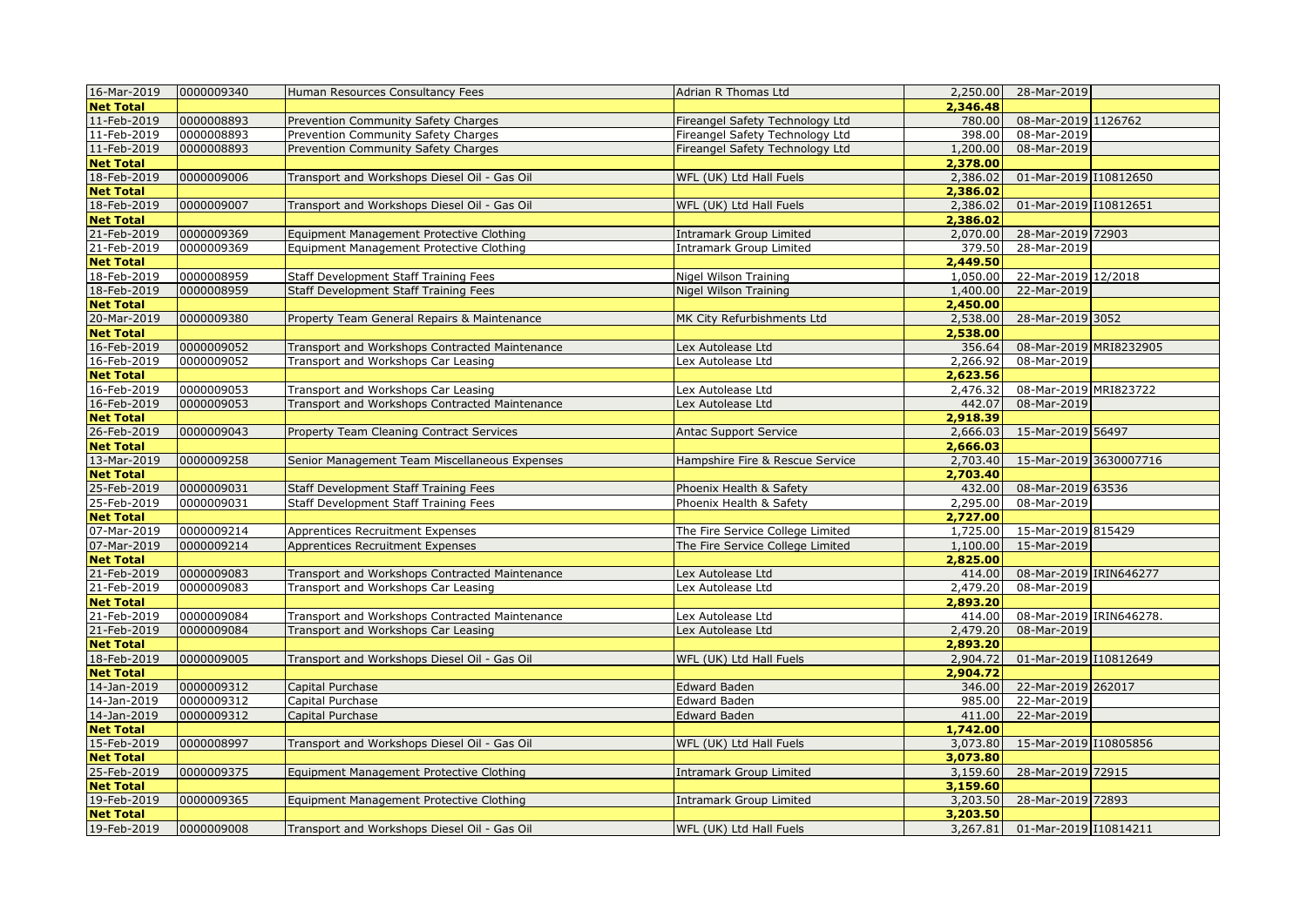| 16-Mar-2019      | 0000009340 | Human Resources Consultancy Fees               | Adrian R Thomas Ltd              | 2,250.00 | 28-Mar-2019             |  |
|------------------|------------|------------------------------------------------|----------------------------------|----------|-------------------------|--|
| <b>Net Total</b> |            |                                                |                                  | 2,346.48 |                         |  |
| 11-Feb-2019      | 0000008893 | Prevention Community Safety Charges            | Fireangel Safety Technology Ltd  | 780.00   | 08-Mar-2019 1126762     |  |
| 11-Feb-2019      | 0000008893 | Prevention Community Safety Charges            | Fireangel Safety Technology Ltd  | 398.00   | 08-Mar-2019             |  |
| 11-Feb-2019      | 0000008893 | Prevention Community Safety Charges            | Fireangel Safety Technology Ltd  | 1,200.00 | 08-Mar-2019             |  |
| <b>Net Total</b> |            |                                                |                                  | 2,378.00 |                         |  |
| 18-Feb-2019      | 0000009006 | Transport and Workshops Diesel Oil - Gas Oil   | WFL (UK) Ltd Hall Fuels          | 2,386.02 | 01-Mar-2019 10812650    |  |
| <b>Net Total</b> |            |                                                |                                  | 2,386.02 |                         |  |
| 18-Feb-2019      | 0000009007 | Transport and Workshops Diesel Oil - Gas Oil   | WFL (UK) Ltd Hall Fuels          | 2,386.02 | 01-Mar-2019 110812651   |  |
| <b>Net Total</b> |            |                                                |                                  | 2,386.02 |                         |  |
| 21-Feb-2019      | 0000009369 | Equipment Management Protective Clothing       | <b>Intramark Group Limited</b>   | 2,070.00 | 28-Mar-2019 72903       |  |
| 21-Feb-2019      | 0000009369 | Equipment Management Protective Clothing       | Intramark Group Limited          | 379.50   | 28-Mar-2019             |  |
| <b>Net Total</b> |            |                                                |                                  | 2,449.50 |                         |  |
| 18-Feb-2019      | 0000008959 | <b>Staff Development Staff Training Fees</b>   | Nigel Wilson Training            | 1,050.00 | 22-Mar-2019 12/2018     |  |
| 18-Feb-2019      | 0000008959 | Staff Development Staff Training Fees          | Nigel Wilson Training            | 1,400.00 | 22-Mar-2019             |  |
| <b>Net Total</b> |            |                                                |                                  | 2,450.00 |                         |  |
| 20-Mar-2019      | 0000009380 | Property Team General Repairs & Maintenance    | MK City Refurbishments Ltd       | 2,538.00 | 28-Mar-2019 3052        |  |
| <b>Net Total</b> |            |                                                |                                  | 2,538.00 |                         |  |
| 16-Feb-2019      | 0000009052 | Transport and Workshops Contracted Maintenance | Lex Autolease Ltd                | 356.64   | 08-Mar-2019 MRI8232905  |  |
| 16-Feb-2019      | 0000009052 | Transport and Workshops Car Leasing            | Lex Autolease Ltd                | 2,266.92 | 08-Mar-2019             |  |
| <b>Net Total</b> |            |                                                |                                  | 2,623.56 |                         |  |
| 16-Feb-2019      | 0000009053 | Transport and Workshops Car Leasing            | Lex Autolease Ltd                | 2,476.32 | 08-Mar-2019 MRI823722   |  |
| 16-Feb-2019      | 0000009053 | Transport and Workshops Contracted Maintenance | Lex Autolease Ltd                | 442.07   | 08-Mar-2019             |  |
| <b>Net Total</b> |            |                                                |                                  | 2,918.39 |                         |  |
| 26-Feb-2019      | 0000009043 | Property Team Cleaning Contract Services       | <b>Antac Support Service</b>     | 2,666.03 | 15-Mar-2019 56497       |  |
| <b>Net Total</b> |            |                                                |                                  | 2,666.03 |                         |  |
| 13-Mar-2019      | 0000009258 | Senior Management Team Miscellaneous Expenses  | Hampshire Fire & Rescue Service  | 2,703.40 | 15-Mar-2019 3630007716  |  |
| <b>Net Total</b> |            |                                                |                                  | 2,703.40 |                         |  |
| 25-Feb-2019      | 0000009031 | <b>Staff Development Staff Training Fees</b>   | Phoenix Health & Safety          | 432.00   | 08-Mar-2019 63536       |  |
| 25-Feb-2019      | 0000009031 | <b>Staff Development Staff Training Fees</b>   | Phoenix Health & Safety          | 2,295.00 | 08-Mar-2019             |  |
| <b>Net Total</b> |            |                                                |                                  | 2,727.00 |                         |  |
| 07-Mar-2019      | 0000009214 | Apprentices Recruitment Expenses               | The Fire Service College Limited | 1,725.00 | 15-Mar-2019 815429      |  |
| 07-Mar-2019      | 0000009214 | Apprentices Recruitment Expenses               | The Fire Service College Limited | 1,100.00 | 15-Mar-2019             |  |
| <b>Net Total</b> |            |                                                |                                  | 2,825.00 |                         |  |
| 21-Feb-2019      | 0000009083 | Transport and Workshops Contracted Maintenance | Lex Autolease Ltd                | 414.00   | 08-Mar-2019 IRIN646277  |  |
| 21-Feb-2019      | 0000009083 | Transport and Workshops Car Leasing            | Lex Autolease Ltd                | 2,479.20 | 08-Mar-2019             |  |
| <b>Net Total</b> |            |                                                |                                  | 2,893.20 |                         |  |
| 21-Feb-2019      | 0000009084 | Transport and Workshops Contracted Maintenance | Lex Autolease Ltd                | 414.00   | 08-Mar-2019 IRIN646278. |  |
| 21-Feb-2019      | 0000009084 | Transport and Workshops Car Leasing            | Lex Autolease Ltd                | 2,479.20 | 08-Mar-2019             |  |
| <b>Net Total</b> |            |                                                |                                  | 2,893.20 |                         |  |
| 18-Feb-2019      | 0000009005 | Transport and Workshops Diesel Oil - Gas Oil   | WFL (UK) Ltd Hall Fuels          | 2,904.72 | 01-Mar-2019 I10812649   |  |
| <b>Net Total</b> |            |                                                |                                  | 2,904.72 |                         |  |
| 14-Jan-2019      | 0000009312 | Capital Purchase                               | Edward Baden                     | 346.00   | 22-Mar-2019 262017      |  |
| 14-Jan-2019      | 0000009312 | Capital Purchase                               | Edward Baden                     | 985.00   | 22-Mar-2019             |  |
| 14-Jan-2019      | 0000009312 | Capital Purchase                               | Edward Baden                     | 411.00   | 22-Mar-2019             |  |
| <b>Net Total</b> |            |                                                |                                  | 1,742.00 |                         |  |
| 15-Feb-2019      | 0000008997 | Transport and Workshops Diesel Oil - Gas Oil   | WFL (UK) Ltd Hall Fuels          | 3,073.80 | 15-Mar-2019 110805856   |  |
| <b>Net Total</b> |            |                                                |                                  | 3,073.80 |                         |  |
| 25-Feb-2019      | 0000009375 | Equipment Management Protective Clothing       | Intramark Group Limited          | 3,159.60 | 28-Mar-2019 72915       |  |
| <b>Net Total</b> |            |                                                |                                  | 3,159.60 |                         |  |
| 19-Feb-2019      | 0000009365 | Equipment Management Protective Clothing       | <b>Intramark Group Limited</b>   | 3,203.50 | 28-Mar-2019 72893       |  |
| <b>Net Total</b> |            |                                                |                                  | 3,203.50 |                         |  |
| 19-Feb-2019      | 0000009008 | Transport and Workshops Diesel Oil - Gas Oil   | WFL (UK) Ltd Hall Fuels          | 3,267.81 | 01-Mar-2019 I10814211   |  |
|                  |            |                                                |                                  |          |                         |  |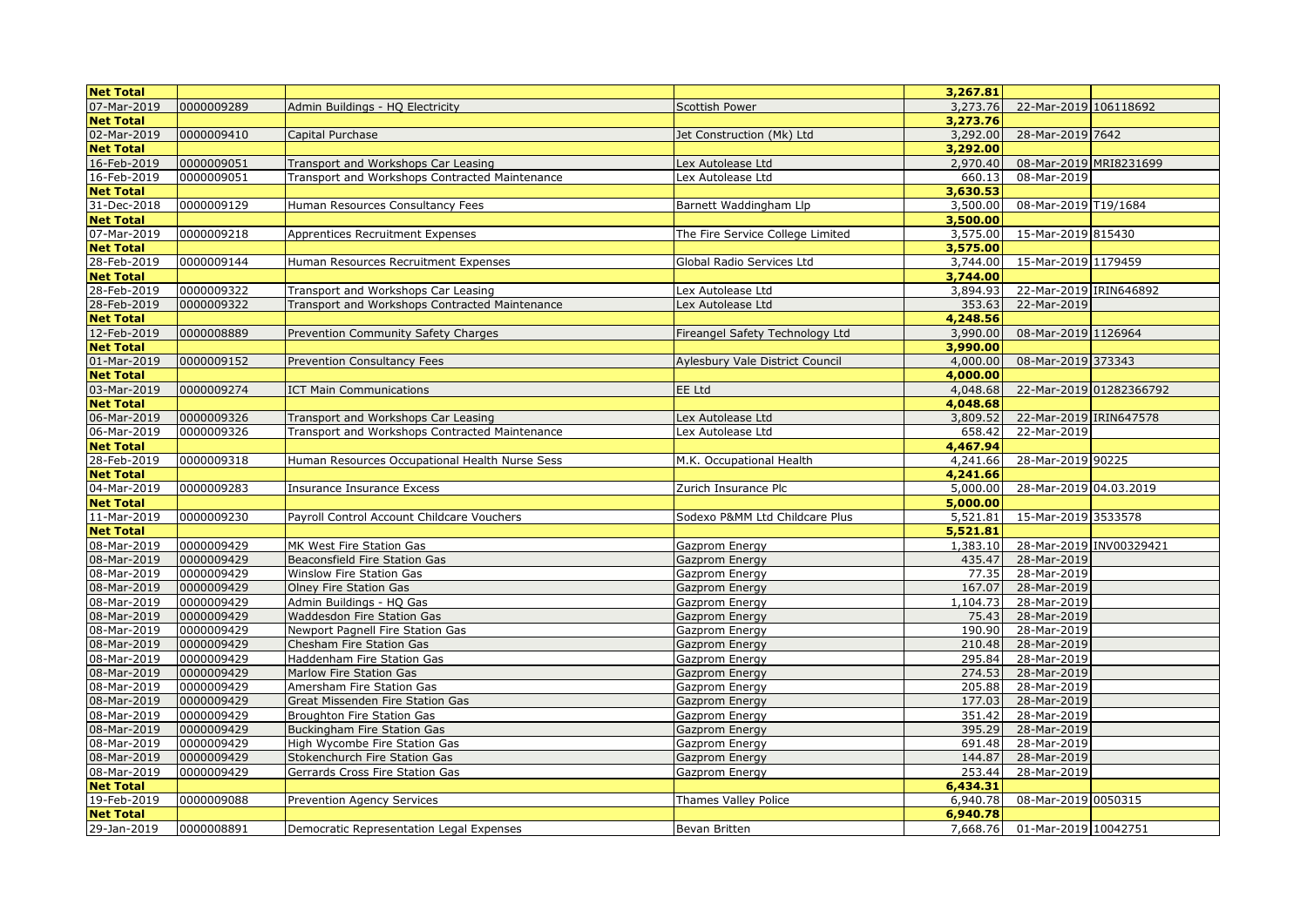| <b>Net Total</b> |            |                                                |                                  | 3,267.81 |                               |  |
|------------------|------------|------------------------------------------------|----------------------------------|----------|-------------------------------|--|
| 07-Mar-2019      | 0000009289 | Admin Buildings - HQ Electricity               | <b>Scottish Power</b>            | 3,273.76 | 22-Mar-2019 106118692         |  |
| <b>Net Total</b> |            |                                                |                                  | 3,273.76 |                               |  |
| 02-Mar-2019      | 0000009410 | Capital Purchase                               | Jet Construction (Mk) Ltd        | 3,292.00 | 28-Mar-2019 7642              |  |
| <b>Net Total</b> |            |                                                |                                  | 3,292.00 |                               |  |
| 16-Feb-2019      | 0000009051 | Transport and Workshops Car Leasing            | Lex Autolease Ltd                | 2,970.40 | 08-Mar-2019 MRI8231699        |  |
| 16-Feb-2019      | 0000009051 | Transport and Workshops Contracted Maintenance | Lex Autolease Ltd                | 660.13   | 08-Mar-2019                   |  |
| <b>Net Total</b> |            |                                                |                                  | 3,630.53 |                               |  |
| 31-Dec-2018      | 0000009129 | Human Resources Consultancy Fees               | Barnett Waddingham Llp           | 3,500.00 | 08-Mar-2019 T19/1684          |  |
| <b>Net Total</b> |            |                                                |                                  | 3,500.00 |                               |  |
| 07-Mar-2019      | 0000009218 | Apprentices Recruitment Expenses               | The Fire Service College Limited | 3,575.00 | 15-Mar-2019 815430            |  |
| <b>Net Total</b> |            |                                                |                                  | 3,575.00 |                               |  |
| 28-Feb-2019      | 0000009144 | Human Resources Recruitment Expenses           | Global Radio Services Ltd        | 3,744.00 | 15-Mar-2019 1179459           |  |
| <b>Net Total</b> |            |                                                |                                  | 3,744.00 |                               |  |
| 28-Feb-2019      | 0000009322 | Transport and Workshops Car Leasing            | Lex Autolease Ltd                | 3,894.93 | 22-Mar-2019 IRIN646892        |  |
| 28-Feb-2019      | 0000009322 | Transport and Workshops Contracted Maintenance | Lex Autolease Ltd                | 353.63   | 22-Mar-2019                   |  |
| <b>Net Total</b> |            |                                                |                                  | 4,248.56 |                               |  |
| 12-Feb-2019      | 0000008889 | Prevention Community Safety Charges            | Fireangel Safety Technology Ltd  | 3,990.00 | 08-Mar-2019 1126964           |  |
| <b>Net Total</b> |            |                                                |                                  | 3,990.00 |                               |  |
| 01-Mar-2019      | 0000009152 | Prevention Consultancy Fees                    | Aylesbury Vale District Council  | 4,000.00 | 08-Mar-2019 373343            |  |
| <b>Net Total</b> |            |                                                |                                  | 4,000.00 |                               |  |
| 03-Mar-2019      | 0000009274 | <b>ICT Main Communications</b>                 | EE Ltd                           | 4,048.68 | 22-Mar-2019 01282366792       |  |
| <b>Net Total</b> |            |                                                |                                  | 4,048.68 |                               |  |
| 06-Mar-2019      | 0000009326 | Transport and Workshops Car Leasing            | Lex Autolease Ltd                | 3,809.52 | 22-Mar-2019 IRIN647578        |  |
| 06-Mar-2019      | 0000009326 | Transport and Workshops Contracted Maintenance | Lex Autolease Ltd                | 658.42   | 22-Mar-2019                   |  |
| <b>Net Total</b> |            |                                                |                                  | 4,467.94 |                               |  |
| 28-Feb-2019      | 0000009318 | Human Resources Occupational Health Nurse Sess | M.K. Occupational Health         | 4,241.66 | 28-Mar-2019 90225             |  |
| <b>Net Total</b> |            |                                                |                                  | 4,241.66 |                               |  |
| 04-Mar-2019      | 0000009283 | Insurance Insurance Excess                     | Zurich Insurance Plc             | 5,000.00 | 28-Mar-2019 04.03.2019        |  |
| <b>Net Total</b> |            |                                                |                                  | 5,000.00 |                               |  |
| 11-Mar-2019      | 0000009230 | Payroll Control Account Childcare Vouchers     | Sodexo P&MM Ltd Childcare Plus   | 5,521.81 | 15-Mar-2019 3533578           |  |
| <b>Net Total</b> |            |                                                |                                  | 5,521.81 |                               |  |
| 08-Mar-2019      | 0000009429 | MK West Fire Station Gas                       | Gazprom Energy                   | 1,383.10 | 28-Mar-2019 INV00329421       |  |
| 08-Mar-2019      | 0000009429 | Beaconsfield Fire Station Gas                  | Gazprom Energy                   | 435.47   | 28-Mar-2019                   |  |
| 08-Mar-2019      | 0000009429 | Winslow Fire Station Gas                       | Gazprom Energy                   | 77.35    | 28-Mar-2019                   |  |
| 08-Mar-2019      | 0000009429 | Olney Fire Station Gas                         | Gazprom Energy                   | 167.07   | 28-Mar-2019                   |  |
| 08-Mar-2019      | 0000009429 | Admin Buildings - HQ Gas                       | Gazprom Energy                   | 1,104.73 | 28-Mar-2019                   |  |
| 08-Mar-2019      | 0000009429 | Waddesdon Fire Station Gas                     | Gazprom Energy                   | 75.43    | 28-Mar-2019                   |  |
| 08-Mar-2019      | 0000009429 | <b>Newport Pagnell Fire Station Gas</b>        | Gazprom Energy                   | 190.90   | 28-Mar-2019                   |  |
| 08-Mar-2019      | 0000009429 | Chesham Fire Station Gas                       | Gazprom Energy                   | 210.48   | 28-Mar-2019                   |  |
| 08-Mar-2019      | 0000009429 | Haddenham Fire Station Gas                     | Gazprom Energy                   | 295.84   | 28-Mar-2019                   |  |
| 08-Mar-2019      | 0000009429 | Marlow Fire Station Gas                        | Gazprom Energy                   | 274.53   | 28-Mar-2019                   |  |
| 08-Mar-2019      | 0000009429 | Amersham Fire Station Gas                      | Gazprom Energy                   | 205.88   | 28-Mar-2019                   |  |
| 08-Mar-2019      | 0000009429 | Great Missenden Fire Station Gas               | Gazprom Energy                   | 177.03   | 28-Mar-2019                   |  |
| 08-Mar-2019      | 0000009429 | Broughton Fire Station Gas                     | Gazprom Energy                   | 351.42   | 28-Mar-2019                   |  |
| 08-Mar-2019      | 0000009429 | <b>Buckingham Fire Station Gas</b>             | Gazprom Energy                   | 395.29   | 28-Mar-2019                   |  |
| 08-Mar-2019      | 0000009429 | High Wycombe Fire Station Gas                  | Gazprom Energy                   | 691.48   | 28-Mar-2019                   |  |
| 08-Mar-2019      | 0000009429 | Stokenchurch Fire Station Gas                  | Gazprom Energy                   | 144.87   | 28-Mar-2019                   |  |
| 08-Mar-2019      | 0000009429 | Gerrards Cross Fire Station Gas                | Gazprom Energy                   | 253.44   | 28-Mar-2019                   |  |
| <b>Net Total</b> |            |                                                |                                  | 6,434.31 |                               |  |
| 19-Feb-2019      | 0000009088 | Prevention Agency Services                     | Thames Valley Police             | 6,940.78 | 08-Mar-2019 0050315           |  |
| <b>Net Total</b> |            |                                                |                                  | 6,940.78 |                               |  |
| 29-Jan-2019      | 0000008891 | Democratic Representation Legal Expenses       | Bevan Britten                    |          | 7,668.76 01-Mar-2019 10042751 |  |
|                  |            |                                                |                                  |          |                               |  |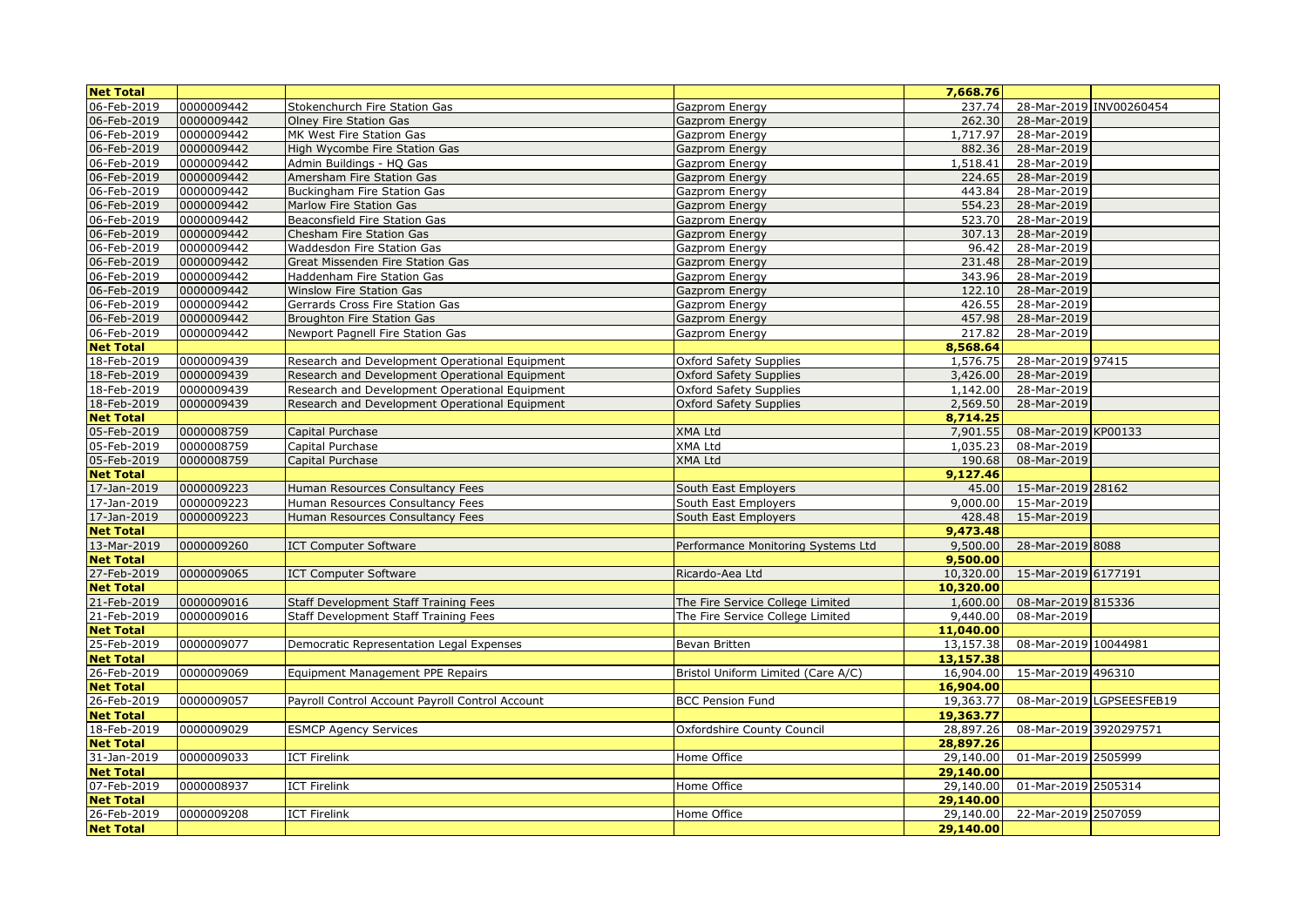| <b>Net Total</b> |            |                                                 |                                    | 7,668.76  |                        |                          |
|------------------|------------|-------------------------------------------------|------------------------------------|-----------|------------------------|--------------------------|
| 06-Feb-2019      | 0000009442 | Stokenchurch Fire Station Gas                   | Gazprom Energy                     | 237.74    |                        | 28-Mar-2019 INV00260454  |
| 06-Feb-2019      | 0000009442 | <b>Olney Fire Station Gas</b>                   | Gazprom Energy                     | 262.30    | 28-Mar-2019            |                          |
| 06-Feb-2019      | 0000009442 | MK West Fire Station Gas                        | Gazprom Energy                     | 1,717.97  | 28-Mar-2019            |                          |
| 06-Feb-2019      | 0000009442 | High Wycombe Fire Station Gas                   | Gazprom Energy                     | 882.36    | 28-Mar-2019            |                          |
| 06-Feb-2019      | 0000009442 | Admin Buildings - HQ Gas                        | Gazprom Energy                     | 1,518.41  | 28-Mar-2019            |                          |
| 06-Feb-2019      | 0000009442 | Amersham Fire Station Gas                       | Gazprom Energy                     | 224.65    | 28-Mar-2019            |                          |
| 06-Feb-2019      | 0000009442 | <b>Buckingham Fire Station Gas</b>              | Gazprom Energy                     | 443.84    | 28-Mar-2019            |                          |
| 06-Feb-2019      | 0000009442 | Marlow Fire Station Gas                         | Gazprom Energy                     | 554.23    | 28-Mar-2019            |                          |
| 06-Feb-2019      | 0000009442 | Beaconsfield Fire Station Gas                   | Gazprom Energy                     | 523.70    | 28-Mar-2019            |                          |
| 06-Feb-2019      | 0000009442 | <b>Chesham Fire Station Gas</b>                 | Gazprom Energy                     | 307.13    | 28-Mar-2019            |                          |
| 06-Feb-2019      | 0000009442 | Waddesdon Fire Station Gas                      | Gazprom Energy                     | 96.42     | 28-Mar-2019            |                          |
| 06-Feb-2019      | 0000009442 | Great Missenden Fire Station Gas                | Gazprom Energy                     | 231.48    | 28-Mar-2019            |                          |
| 06-Feb-2019      | 0000009442 | Haddenham Fire Station Gas                      | Gazprom Energy                     | 343.96    | 28-Mar-2019            |                          |
| 06-Feb-2019      | 0000009442 | <b>Winslow Fire Station Gas</b>                 | Gazprom Energy                     | 122.10    | 28-Mar-2019            |                          |
| 06-Feb-2019      | 0000009442 | Gerrards Cross Fire Station Gas                 | Gazprom Energy                     | 426.55    | 28-Mar-2019            |                          |
| 06-Feb-2019      | 0000009442 | <b>Broughton Fire Station Gas</b>               | Gazprom Energy                     | 457.98    | 28-Mar-2019            |                          |
| 06-Feb-2019      | 0000009442 | Newport Pagnell Fire Station Gas                | Gazprom Energy                     | 217.82    | 28-Mar-2019            |                          |
| <b>Net Total</b> |            |                                                 |                                    | 8,568.64  |                        |                          |
| 18-Feb-2019      | 0000009439 | Research and Development Operational Equipment  | <b>Oxford Safety Supplies</b>      | 1,576.75  | 28-Mar-2019 97415      |                          |
| 18-Feb-2019      | 0000009439 | Research and Development Operational Equipment  | <b>Oxford Safety Supplies</b>      | 3,426.00  | 28-Mar-2019            |                          |
| 18-Feb-2019      | 0000009439 | Research and Development Operational Equipment  | <b>Oxford Safety Supplies</b>      | 1,142.00  | 28-Mar-2019            |                          |
| 18-Feb-2019      | 0000009439 | Research and Development Operational Equipment  | <b>Oxford Safety Supplies</b>      | 2,569.50  | 28-Mar-2019            |                          |
| <b>Net Total</b> |            |                                                 |                                    | 8,714.25  |                        |                          |
| 05-Feb-2019      | 0000008759 | Capital Purchase                                | <b>XMA Ltd</b>                     | 7,901.55  | 08-Mar-2019 KP00133    |                          |
| 05-Feb-2019      | 0000008759 | Capital Purchase                                | XMA Ltd                            | 1,035.23  | 08-Mar-2019            |                          |
| 05-Feb-2019      | 0000008759 | Capital Purchase                                | <b>XMA Ltd</b>                     | 190.68    | 08-Mar-2019            |                          |
| <b>Net Total</b> |            |                                                 |                                    | 9,127.46  |                        |                          |
| 17-Jan-2019      | 0000009223 | Human Resources Consultancy Fees                | South East Employers               | 45.00     | 15-Mar-2019 28162      |                          |
| 17-Jan-2019      | 0000009223 | Human Resources Consultancy Fees                | South East Employers               | 9,000.00  | 15-Mar-2019            |                          |
| 17-Jan-2019      | 0000009223 | Human Resources Consultancy Fees                | South East Employers               | 428.48    | 15-Mar-2019            |                          |
| <b>Net Total</b> |            |                                                 |                                    | 9,473.48  |                        |                          |
| 13-Mar-2019      | 0000009260 | <b>ICT Computer Software</b>                    | Performance Monitoring Systems Ltd | 9,500.00  | 28-Mar-2019 8088       |                          |
| <b>Net Total</b> |            |                                                 |                                    | 9,500.00  |                        |                          |
| 27-Feb-2019      | 0000009065 | <b>ICT Computer Software</b>                    | Ricardo-Aea Ltd                    | 10,320.00 | 15-Mar-2019 6177191    |                          |
| <b>Net Total</b> |            |                                                 |                                    | 10,320.00 |                        |                          |
| 21-Feb-2019      | 0000009016 | <b>Staff Development Staff Training Fees</b>    | The Fire Service College Limited   | 1,600.00  | 08-Mar-2019 815336     |                          |
| 21-Feb-2019      | 0000009016 | <b>Staff Development Staff Training Fees</b>    | The Fire Service College Limited   | 9,440.00  | 08-Mar-2019            |                          |
| <b>Net Total</b> |            |                                                 |                                    | 11,040.00 |                        |                          |
| 25-Feb-2019      | 0000009077 | Democratic Representation Legal Expenses        | Bevan Britten                      | 13,157.38 | 08-Mar-2019 10044981   |                          |
| <b>Net Total</b> |            |                                                 |                                    | 13,157.38 |                        |                          |
| 26-Feb-2019      | 0000009069 | Equipment Management PPE Repairs                | Bristol Uniform Limited (Care A/C) | 16,904.00 | 15-Mar-2019 496310     |                          |
| <b>Net Total</b> |            |                                                 |                                    | 16,904.00 |                        |                          |
| 26-Feb-2019      | 0000009057 | Payroll Control Account Payroll Control Account | <b>BCC Pension Fund</b>            | 19,363.77 |                        | 08-Mar-2019 LGPSEESFEB19 |
| <b>Net Total</b> |            |                                                 |                                    | 19,363,77 |                        |                          |
| 18-Feb-2019      | 0000009029 | <b>ESMCP Agency Services</b>                    | Oxfordshire County Council         | 28,897.26 | 08-Mar-2019 3920297571 |                          |
| <b>Net Total</b> |            |                                                 |                                    | 28,897.26 |                        |                          |
| 31-Jan-2019      | 0000009033 | <b>ICT Firelink</b>                             | Home Office                        | 29,140.00 | 01-Mar-2019 2505999    |                          |
| <b>Net Total</b> |            |                                                 |                                    | 29,140.00 |                        |                          |
| 07-Feb-2019      | 0000008937 | <b>ICT Firelink</b>                             | Home Office                        | 29,140.00 | 01-Mar-2019 2505314    |                          |
| <b>Net Total</b> |            |                                                 |                                    | 29,140.00 |                        |                          |
| 26-Feb-2019      | 0000009208 | <b>ICT Firelink</b>                             | Home Office                        | 29,140.00 | 22-Mar-2019 2507059    |                          |
| <b>Net Total</b> |            |                                                 |                                    | 29,140.00 |                        |                          |